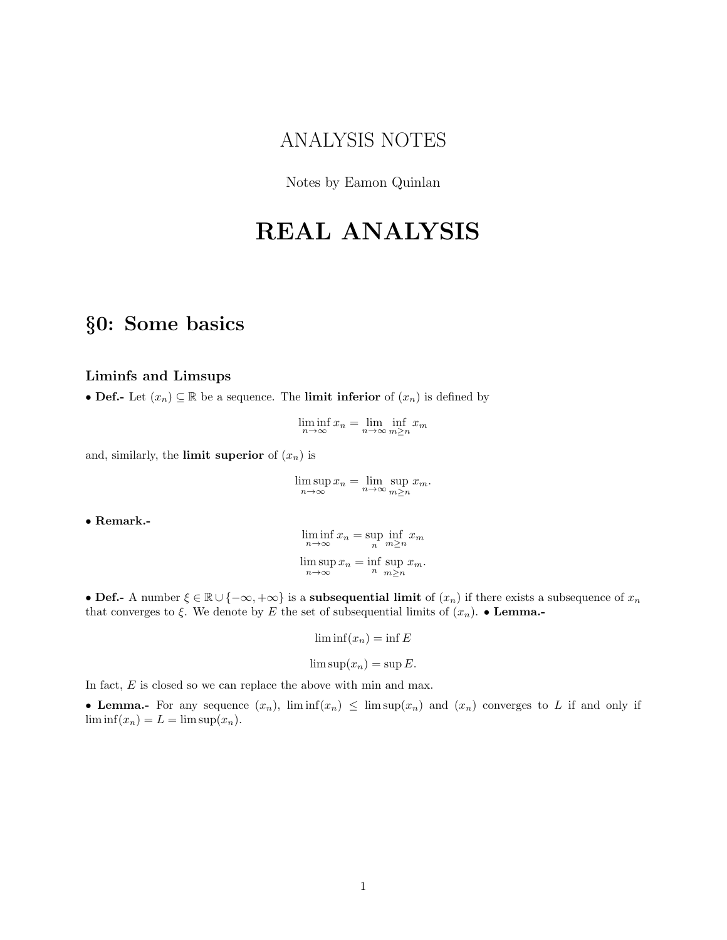## ANALYSIS NOTES

Notes by Eamon Quinlan

# REAL ANALYSIS

## §0: Some basics

### Liminfs and Limsups

• Def.- Let  $(x_n) \subseteq \mathbb{R}$  be a sequence. The limit inferior of  $(x_n)$  is defined by

$$
\liminf_{n \to \infty} x_n = \lim_{n \to \infty} \inf_{m \ge n} x_m
$$

and, similarly, the **limit superior** of  $(x_n)$  is

 $\limsup_{n \to \infty} x_n = \lim_{n \to \infty} \sup_{m \ge n} x_m.$ 

• Remark.-

$$
\liminf_{n \to \infty} x_n = \sup_{n} \inf_{m \ge n} x_m
$$

$$
\limsup_{n \to \infty} x_n = \inf_{n} \sup_{m \ge n} x_m.
$$

• Def.- A number  $\xi \in \mathbb{R} \cup \{-\infty, +\infty\}$  is a subsequential limit of  $(x_n)$  if there exists a subsequence of  $x_n$ that converges to  $\xi$ . We denote by E the set of subsequential limits of  $(x_n)$ . • Lemma.-

$$
\liminf(x_n) = \inf E
$$

 $\limsup(x_n) = \sup E.$ 

In fact,  $E$  is closed so we can replace the above with min and max.

• Lemma.- For any sequence  $(x_n)$ ,  $\liminf(x_n) \leq \limsup(x_n)$  and  $(x_n)$  converges to L if and only if  $\liminf(x_n) = L = \limsup(x_n)$ .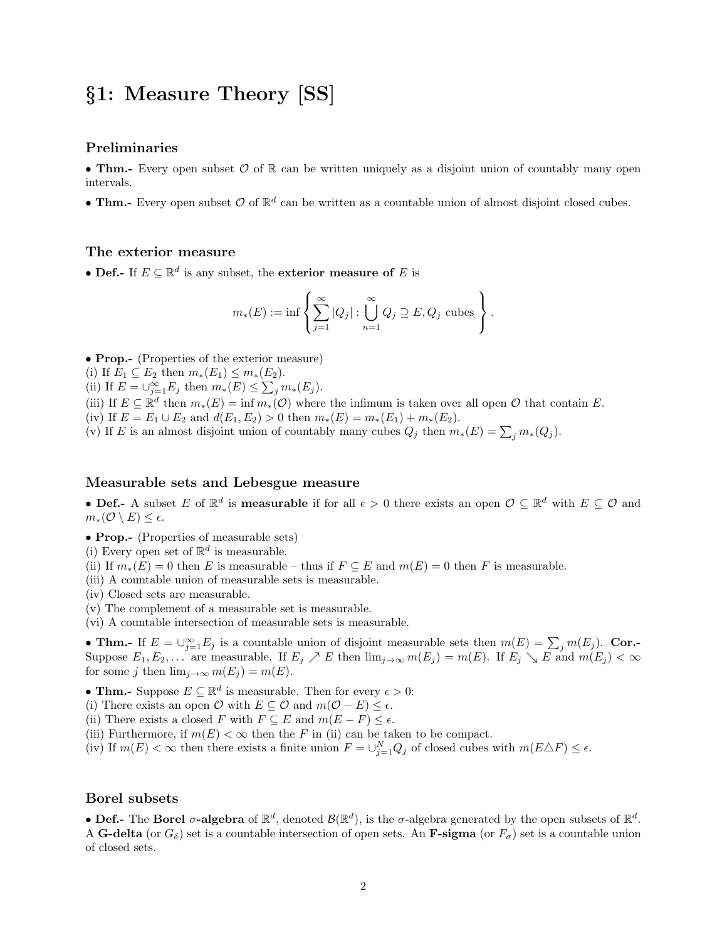## §1: Measure Theory [SS]

#### Preliminaries

• Thm.- Every open subset  $\mathcal O$  of  $\mathbb R$  can be written uniquely as a disjoint union of countably many open intervals.

• Thm.- Every open subset  $\mathcal O$  of  $\mathbb R^d$  can be written as a countable union of almost disjoint closed cubes.

#### The exterior measure

• Def.- If  $E \subseteq \mathbb{R}^d$  is any subset, the exterior measure of E is

$$
m_*(E) := \inf \left\{ \sum_{j=1}^{\infty} |Q_j| : \bigcup_{n=1}^{\infty} Q_j \supseteq E, Q_j \text{ cubes} \right\}.
$$

- Prop.- (Properties of the exterior measure)
- (i) If  $E_1 \subseteq E_2$  then  $m_*(E_1) \leq m_*(E_2)$ . (ii) If  $E = \bigcup_{j=1}^{\infty} E_j$  then  $m_*(E) \leq \sum_j m_*(E_j)$ . (iii) If  $E \subseteq \mathbb{R}^d$  then  $m_*(E) = \inf m_*(\mathcal{O})$  where the infimum is taken over all open  $\mathcal O$  that contain E. (iv) If  $E = E_1 \cup E_2$  and  $d(E_1, E_2) > 0$  then  $m_*(E) = m_*(E_1) + m_*(E_2)$ . (v) If E is an almost disjoint union of countably many cubes  $Q_j$  then  $m_*(E) = \sum_j m_*(Q_j)$ .

#### Measurable sets and Lebesgue measure

• Def.- A subset E of  $\mathbb{R}^d$  is **measurable** if for all  $\epsilon > 0$  there exists an open  $\mathcal{O} \subseteq \mathbb{R}^d$  with  $E \subseteq \mathcal{O}$  and  $m_*(\mathcal{O}\setminus E)\leq \epsilon.$ 

- **Prop.** (Properties of measurable sets)
- (i) Every open set of  $\mathbb{R}^d$  is measurable.
- (ii) If  $m_*(E) = 0$  then E is measurable thus if  $F \subseteq E$  and  $m(E) = 0$  then F is measurable.
- (iii) A countable union of measurable sets is measurable.
- (iv) Closed sets are measurable.
- (v) The complement of a measurable set is measurable.
- (vi) A countable intersection of measurable sets is measurable.

• Thm.- If  $E = \bigcup_{j=1}^{\infty} E_j$  is a countable union of disjoint measurable sets then  $m(E) = \sum_j m(E_j)$ . Cor.-Suppose  $E_1, E_2, \ldots$  are measurable. If  $E_j \nearrow E$  then  $\lim_{j\to\infty} m(E_j) = m(E)$ . If  $E_j \searrow E$  and  $m(E_j) < \infty$ for some j then  $\lim_{j\to\infty} m(E_j) = m(E)$ .

• Thm.- Suppose  $E \subseteq \mathbb{R}^d$  is measurable. Then for every  $\epsilon > 0$ :

- (i) There exists an open  $\mathcal O$  with  $E \subseteq \mathcal O$  and  $m(\mathcal O E) \leq \epsilon$ .
- (ii) There exists a closed F with  $F \subseteq E$  and  $m(E F) \leq \epsilon$ .
- (iii) Furthermore, if  $m(E) < \infty$  then the F in (ii) can be taken to be compact.

(iv) If  $m(E) < \infty$  then there exists a finite union  $F = \bigcup_{j=1}^{N} Q_j$  of closed cubes with  $m(E \triangle F) \leq \epsilon$ .

#### Borel subsets

• Def.- The Borel  $\sigma$ -algebra of  $\mathbb{R}^d$ , denoted  $\mathcal{B}(\mathbb{R}^d)$ , is the  $\sigma$ -algebra generated by the open subsets of  $\mathbb{R}^d$ . A G-delta (or  $G_{\delta}$ ) set is a countable intersection of open sets. An F-sigma (or  $F_{\sigma}$ ) set is a countable union of closed sets.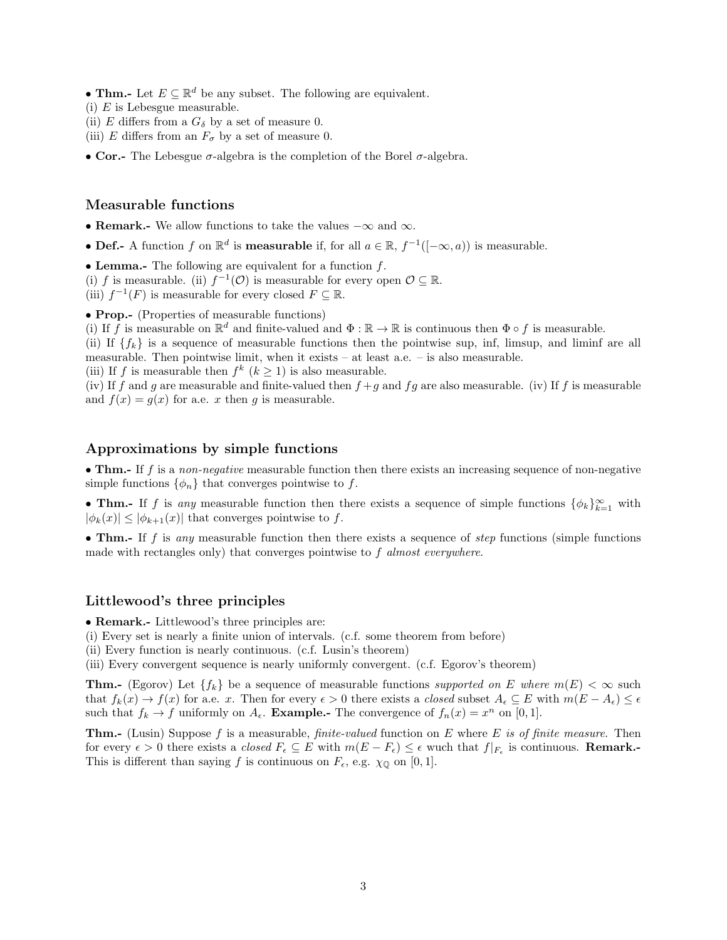- Thm.- Let  $E \subseteq \mathbb{R}^d$  be any subset. The following are equivalent.
- (i) E is Lebesgue measurable.
- (ii) E differs from a  $G_{\delta}$  by a set of measure 0.
- (iii) E differs from an  $F_{\sigma}$  by a set of measure 0.
- Cor.- The Lebesgue  $\sigma$ -algebra is the completion of the Borel  $\sigma$ -algebra.

#### Measurable functions

- Remark.- We allow functions to take the values  $-\infty$  and  $\infty$ .
- Def.- A function f on  $\mathbb{R}^d$  is **measurable** if, for all  $a \in \mathbb{R}$ ,  $f^{-1}([-\infty, a))$  is measurable.

• Lemma.- The following are equivalent for a function  $f$ . (i) f is measurable. (ii)  $f^{-1}(\mathcal{O})$  is measurable for every open  $\mathcal{O} \subseteq \mathbb{R}$ . (iii)  $f^{-1}(F)$  is measurable for every closed  $F \subseteq \mathbb{R}$ .

• Prop.- (Properties of measurable functions)

(i) If f is measurable on  $\mathbb{R}^d$  and finite-valued and  $\Phi : \mathbb{R} \to \mathbb{R}$  is continuous then  $\Phi \circ f$  is measurable.

(ii) If  ${f_k}$  is a sequence of measurable functions then the pointwise sup, inf, limsup, and liminf are all measurable. Then pointwise limit, when it exists – at least a.e. – is also measurable.

(iii) If f is measurable then  $f^k$   $(k \geq 1)$  is also measurable.

(iv) If f and g are measurable and finite-valued then  $f + g$  and fg are also measurable. (iv) If f is measurable and  $f(x) = g(x)$  for a.e. x then g is measurable.

#### Approximations by simple functions

• Thm.- If f is a non-negative measurable function then there exists an increasing sequence of non-negative simple functions  $\{\phi_n\}$  that converges pointwise to f.

• Thm.- If f is any measurable function then there exists a sequence of simple functions  $\{\phi_k\}_{k=1}^{\infty}$  with  $|\phi_k(x)| \leq |\phi_{k+1}(x)|$  that converges pointwise to f.

• Thm.- If f is any measurable function then there exists a sequence of step functions (simple functions made with rectangles only) that converges pointwise to  $f$  almost everywhere.

#### Littlewood's three principles

• Remark.- Littlewood's three principles are:

(i) Every set is nearly a finite union of intervals. (c.f. some theorem from before)

(ii) Every function is nearly continuous. (c.f. Lusin's theorem)

(iii) Every convergent sequence is nearly uniformly convergent. (c.f. Egorov's theorem)

**Thm.-** (Egorov) Let  $\{f_k\}$  be a sequence of measurable functions supported on E where  $m(E) < \infty$  such that  $f_k(x) \to f(x)$  for a.e. x. Then for every  $\epsilon > 0$  there exists a closed subset  $A_{\epsilon} \subseteq E$  with  $m(E - A_{\epsilon}) \leq \epsilon$ such that  $f_k \to f$  uniformly on  $A_{\epsilon}$ . **Example.** The convergence of  $f_n(x) = x^n$  on [0, 1].

**Thm.**- (Lusin) Suppose f is a measurable, *finite-valued* function on E where E is of finite measure. Then for every  $\epsilon > 0$  there exists a *closed*  $F_{\epsilon} \subseteq E$  with  $m(E - F_{\epsilon}) \leq \epsilon$  wuch that  $f|_{F_{\epsilon}}$  is continuous. **Remark.**-This is different than saying f is continuous on  $F_{\epsilon}$ , e.g.  $\chi_{\mathbb{Q}}$  on [0, 1].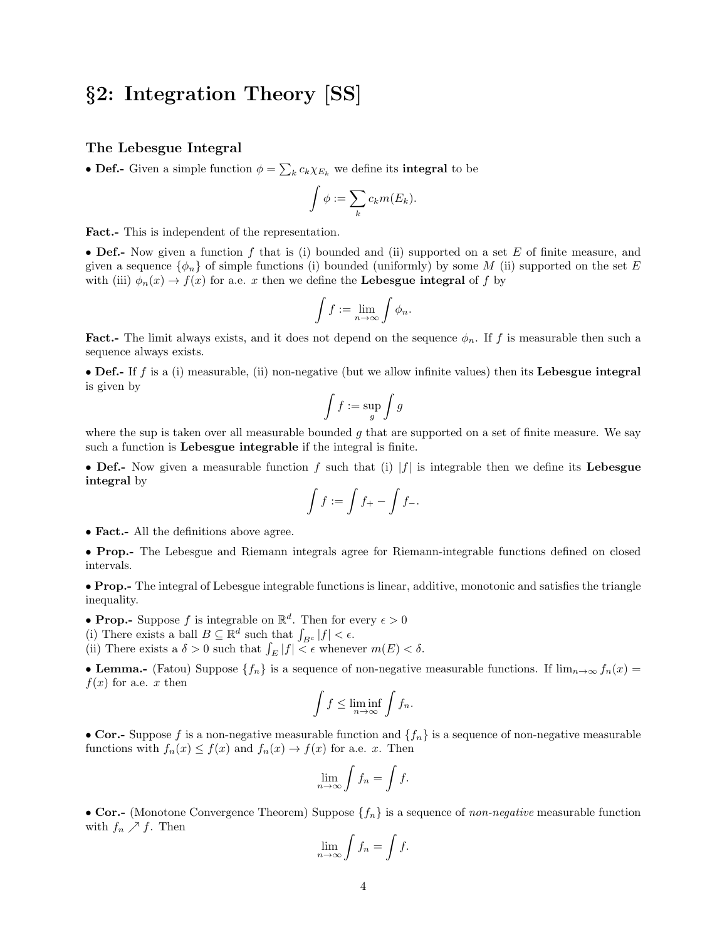## §2: Integration Theory [SS]

#### The Lebesgue Integral

• Def.- Given a simple function  $\phi = \sum_{k} c_k \chi_{E_k}$  we define its **integral** to be

$$
\int \phi := \sum_k c_k m(E_k).
$$

Fact.- This is independent of the representation.

• Def.- Now given a function f that is (i) bounded and (ii) supported on a set  $E$  of finite measure, and given a sequence  $\{\phi_n\}$  of simple functions (i) bounded (uniformly) by some M (ii) supported on the set E with (iii)  $\phi_n(x) \to f(x)$  for a.e. x then we define the **Lebesgue integral** of f by

$$
\int f := \lim_{n \to \infty} \int \phi_n.
$$

**Fact.**- The limit always exists, and it does not depend on the sequence  $\phi_n$ . If f is measurable then such a sequence always exists.

• Def.- If f is a (i) measurable, (ii) non-negative (but we allow infinite values) then its Lebesgue integral is given by

$$
\int f:=\sup_g \int g
$$

where the sup is taken over all measurable bounded q that are supported on a set of finite measure. We say such a function is Lebesgue integrable if the integral is finite.

• Def.- Now given a measurable function f such that (i)  $|f|$  is integrable then we define its Lebesgue integral by

$$
\int f := \int f_+ - \int f_-.
$$

• **Fact.**- All the definitions above agree.

• Prop.- The Lebesgue and Riemann integrals agree for Riemann-integrable functions defined on closed intervals.

• Prop.- The integral of Lebesgue integrable functions is linear, additive, monotonic and satisfies the triangle inequality.

• Prop.- Suppose f is integrable on  $\mathbb{R}^d$ . Then for every  $\epsilon > 0$ 

(i) There exists a ball  $B \subseteq \mathbb{R}^d$  such that  $\int_{B^c} |f| < \epsilon$ .

(ii) There exists a  $\delta > 0$  such that  $\int_E |f| < \epsilon$  whenever  $m(E) < \delta$ .

• Lemma.- (Fatou) Suppose  ${f_n}$  is a sequence of non-negative measurable functions. If  $\lim_{n\to\infty} f_n(x)$  $f(x)$  for a.e. x then

$$
\int f \le \liminf_{n \to \infty} \int f_n.
$$

• Cor.- Suppose f is a non-negative measurable function and  $\{f_n\}$  is a sequence of non-negative measurable functions with  $f_n(x) \leq f(x)$  and  $f_n(x) \to f(x)$  for a.e. x. Then

$$
\lim_{n \to \infty} \int f_n = \int f.
$$

• Cor.- (Monotone Convergence Theorem) Suppose  $\{f_n\}$  is a sequence of non-negative measurable function with  $f_n \nearrow f$ . Then

$$
\lim_{n \to \infty} \int f_n = \int f.
$$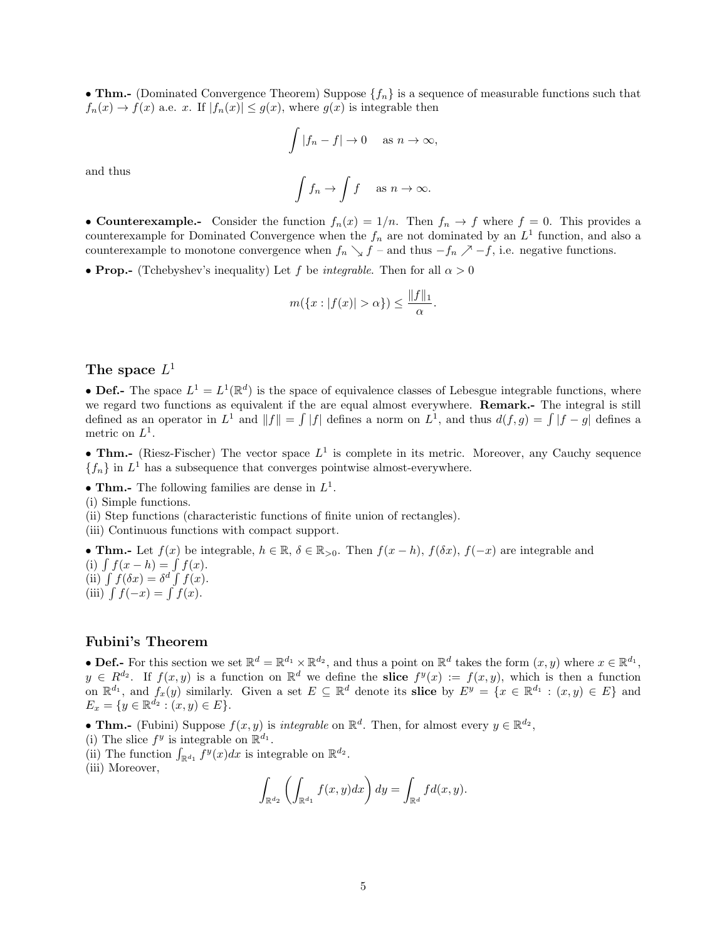• Thm.- (Dominated Convergence Theorem) Suppose  $\{f_n\}$  is a sequence of measurable functions such that  $f_n(x) \to f(x)$  a.e. x. If  $|f_n(x)| \leq g(x)$ , where  $g(x)$  is integrable then

$$
\int |f_n - f| \to 0 \quad \text{as } n \to \infty,
$$

and thus

$$
\int f_n \to \int f \quad \text{as } n \to \infty.
$$

• Counterexample.- Consider the function  $f_n(x) = 1/n$ . Then  $f_n \to f$  where  $f = 0$ . This provides a counterexample for Dominated Convergence when the  $f_n$  are not dominated by an  $L^1$  function, and also a counterexample to monotone convergence when  $f_n \searrow f$  – and thus  $-f_n \nearrow -f$ , i.e. negative functions.

• Prop.- (Tchebyshev's inequality) Let f be *integrable*. Then for all  $\alpha > 0$ 

$$
m(\lbrace x : |f(x)| > \alpha \rbrace) \le \frac{\Vert f \Vert_1}{\alpha}.
$$

### The space  $L^1$

• Def.- The space  $L^1 = L^1(\mathbb{R}^d)$  is the space of equivalence classes of Lebesgue integrable functions, where we regard two functions as equivalent if the are equal almost everywhere. **Remark.**- The integral is still defined as an operator in  $L^1$  and  $||f|| = \int |f|$  defines a norm on  $L^1$ , and thus  $d(f,g) = \int |f-g|$  defines a metric on  $L^1$ .

• Thm.- (Riesz-Fischer) The vector space  $L^1$  is complete in its metric. Moreover, any Cauchy sequence  ${f_n}$  in  $L^1$  has a subsequence that converges pointwise almost-everywhere.

• Thm.- The following families are dense in  $L^1$ .

(i) Simple functions.

(ii) Step functions (characteristic functions of finite union of rectangles).

(iii) Continuous functions with compact support.

• Thm.- Let  $f(x)$  be integrable,  $h \in \mathbb{R}$ ,  $\delta \in \mathbb{R}_{>0}$ . Then  $f(x-h)$ ,  $f(\delta x)$ ,  $f(-x)$  are integrable and (i)  $\int f(x-h) = \int f(x)$ . (ii)  $\int f(\delta x) = \delta^d \int f(x)$ . (iii)  $\int f(-x) = \int f(x)$ .

#### Fubini's Theorem

• Def.- For this section we set  $\mathbb{R}^d = \mathbb{R}^{d_1} \times \mathbb{R}^{d_2}$ , and thus a point on  $\mathbb{R}^d$  takes the form  $(x, y)$  where  $x \in \mathbb{R}^{d_1}$ ,  $y \in R^{d_2}$ . If  $f(x, y)$  is a function on  $\mathbb{R}^d$  we define the **slice**  $f^y(x) := f(x, y)$ , which is then a function on  $\mathbb{R}^{d_1}$ , and  $f_x(y)$  similarly. Given a set  $E \subseteq \mathbb{R}^d$  denote its slice by  $E^y = \{x \in \mathbb{R}^{d_1} : (x, y) \in E\}$  and  $E_x = \{y \in \mathbb{R}^{d_2} : (x, y) \in E\}.$ 

• Thm.- (Fubini) Suppose  $f(x, y)$  is *integrable* on  $\mathbb{R}^d$ . Then, for almost every  $y \in \mathbb{R}^{d_2}$ ,

- (i) The slice  $f^y$  is integrable on  $\mathbb{R}^{d_1}$ .
- (ii) The function  $\int_{\mathbb{R}^{d_1}} f^y(x) dx$  is integrable on  $\mathbb{R}^{d_2}$ .
- (iii) Moreover,

$$
\int_{\mathbb{R}^{d_2}} \left( \int_{\mathbb{R}^{d_1}} f(x, y) dx \right) dy = \int_{\mathbb{R}^d} f d(x, y).
$$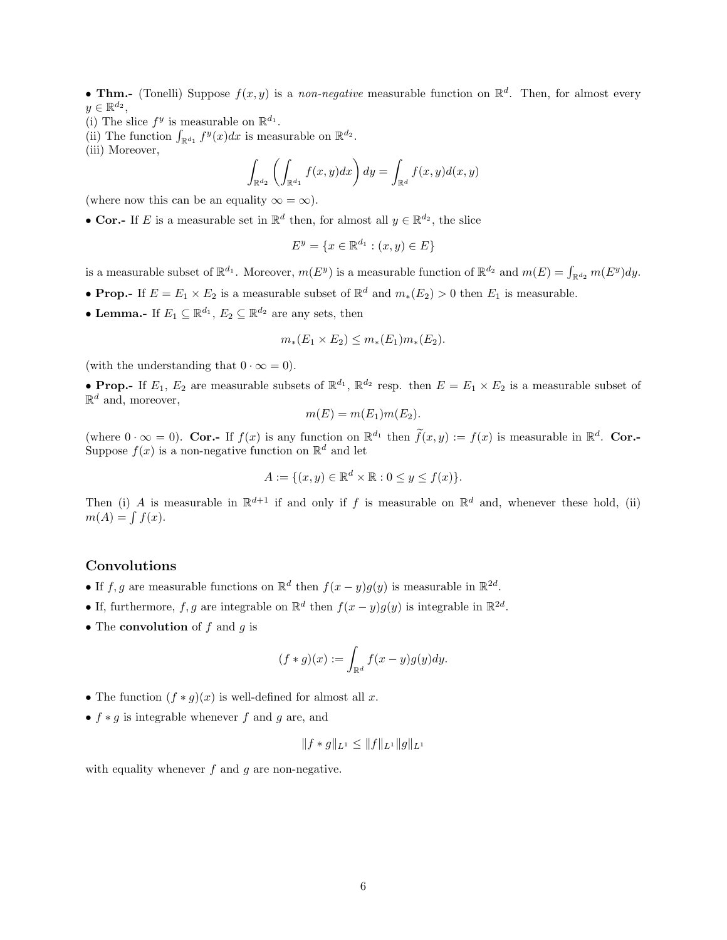• Thm.- (Tonelli) Suppose  $f(x, y)$  is a non-negative measurable function on  $\mathbb{R}^d$ . Then, for almost every  $y \in \mathbb{R}^{d_2}$ ,

- (i) The slice  $f^y$  is measurable on  $\mathbb{R}^{d_1}$ .
- (ii) The function  $\int_{\mathbb{R}^{d_1}} f^y(x) dx$  is measurable on  $\mathbb{R}^{d_2}$ .
- (iii) Moreover,

$$
\int_{\mathbb{R}^{d_2}} \left( \int_{\mathbb{R}^{d_1}} f(x, y) dx \right) dy = \int_{\mathbb{R}^d} f(x, y) d(x, y)
$$

(where now this can be an equality  $\infty = \infty$ ).

• Cor.- If E is a measurable set in  $\mathbb{R}^d$  then, for almost all  $y \in \mathbb{R}^{d_2}$ , the slice

$$
E^y = \{ x \in \mathbb{R}^{d_1} : (x, y) \in E \}
$$

is a measurable subset of  $\mathbb{R}^{d_1}$ . Moreover,  $m(E^y)$  is a measurable function of  $\mathbb{R}^{d_2}$  and  $m(E) = \int_{\mathbb{R}^{d_2}} m(E^y) dy$ .

- Prop.- If  $E = E_1 \times E_2$  is a measurable subset of  $\mathbb{R}^d$  and  $m_*(E_2) > 0$  then  $E_1$  is measurable.
- Lemma.- If  $E_1 \subseteq \mathbb{R}^{d_1}$ ,  $E_2 \subseteq \mathbb{R}^{d_2}$  are any sets, then

$$
m_*(E_1 \times E_2) \le m_*(E_1) m_*(E_2).
$$

(with the understanding that  $0 \cdot \infty = 0$ ).

• Prop.- If  $E_1, E_2$  are measurable subsets of  $\mathbb{R}^{d_1}$ ,  $\mathbb{R}^{d_2}$  resp. then  $E = E_1 \times E_2$  is a measurable subset of  $\mathbb{R}^d$  and, moreover,

$$
m(E) = m(E_1)m(E_2).
$$

(where  $0 \cdot \infty = 0$ ). Cor.- If  $f(x)$  is any function on  $\mathbb{R}^{d_1}$  then  $\tilde{f}(x, y) := f(x)$  is measurable in  $\mathbb{R}^d$ . Cor.-Suppose  $f(x)$  is a non-negative function on  $\mathbb{R}^d$  and let

$$
A := \{(x, y) \in \mathbb{R}^d \times \mathbb{R} : 0 \le y \le f(x)\}.
$$

Then (i) A is measurable in  $\mathbb{R}^{d+1}$  if and only if f is measurable on  $\mathbb{R}^d$  and, whenever these hold, (ii)  $m(A) = \int f(x)$ .

### Convolutions

- If f, g are measurable functions on  $\mathbb{R}^d$  then  $f(x y)g(y)$  is measurable in  $\mathbb{R}^{2d}$ .
- If, furthermore, f, g are integrable on  $\mathbb{R}^d$  then  $f(x-y)g(y)$  is integrable in  $\mathbb{R}^{2d}$ .
- The **convolution** of  $f$  and  $g$  is

$$
(f * g)(x) := \int_{\mathbb{R}^d} f(x - y)g(y)dy.
$$

- The function  $(f * g)(x)$  is well-defined for almost all x.
- $f * g$  is integrable whenever f and g are, and

$$
||f * g||_{L^1} \leq ||f||_{L^1} ||g||_{L^1}
$$

with equality whenever  $f$  and  $g$  are non-negative.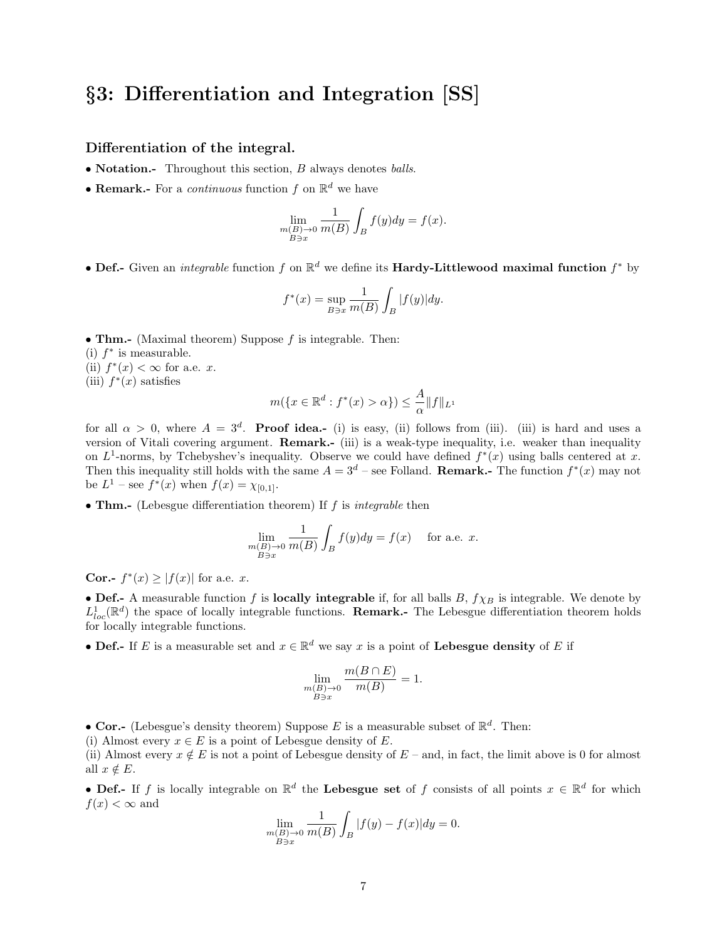## §3: Differentiation and Integration [SS]

#### Differentiation of the integral.

- Notation.- Throughout this section, B always denotes balls.
- Remark.- For a *continuous* function  $f$  on  $\mathbb{R}^d$  we have

$$
\lim_{\substack{m(B)\to 0\\B\ni x}}\frac{1}{m(B)}\int_B f(y)dy = f(x).
$$

• Def.- Given an *integrable* function f on  $\mathbb{R}^d$  we define its **Hardy-Littlewood maximal function**  $f^*$  by

$$
f^*(x) = \sup_{B \ni x} \frac{1}{m(B)} \int_B |f(y)| dy.
$$

• Thm.- (Maximal theorem) Suppose  $f$  is integrable. Then:

(i)  $f^*$  is measurable.

(ii)  $f^*(x) < \infty$  for a.e. x. (iii)  $f^*(x)$  satisfies

$$
m(\lbrace x \in \mathbb{R}^d : f^*(x) > \alpha \rbrace) \le \frac{A}{\alpha} ||f||_{L^1}
$$

for all  $\alpha > 0$ , where  $A = 3^d$ . **Proof idea.**- (i) is easy, (ii) follows from (iii). (iii) is hard and uses a version of Vitali covering argument. **Remark.**- (iii) is a weak-type inequality, i.e. weaker than inequality on  $L^1$ -norms, by Tchebyshev's inequality. Observe we could have defined  $f^*(x)$  using balls centered at x. Then this inequality still holds with the same  $A = 3^d$  – see Folland. **Remark.**- The function  $f^*(x)$  may not be  $L^1$  – see  $f^*(x)$  when  $f(x) = \chi_{[0,1]}.$ 

• Thm.- (Lebesgue differentiation theorem) If  $f$  is *integrable* then

$$
\lim_{\substack{m(B)\to 0 \\ B\ni x}} \frac{1}{m(B)} \int_B f(y) dy = f(x) \quad \text{ for a.e. } x.
$$

Cor.-  $f^*(x) \geq |f(x)|$  for a.e. x.

• Def.- A measurable function f is locally integrable if, for all balls B,  $f\chi_B$  is integrable. We denote by  $L_{loc}^1(\mathbb{R}^d)$  the space of locally integrable functions. **Remark.**- The Lebesgue differentiation theorem holds for locally integrable functions.

• Def.- If E is a measurable set and  $x \in \mathbb{R}^d$  we say x is a point of Lebesgue density of E if

$$
\lim_{\substack{m(B)\to 0\\B\ni x}}\frac{m(B\cap E)}{m(B)}=1.
$$

• Cor.- (Lebesgue's density theorem) Suppose E is a measurable subset of  $\mathbb{R}^d$ . Then:

(i) Almost every  $x \in E$  is a point of Lebesgue density of E.

(ii) Almost every  $x \notin E$  is not a point of Lebesgue density of  $E$  – and, in fact, the limit above is 0 for almost all  $x \notin E$ .

• Def.- If f is locally integrable on  $\mathbb{R}^d$  the Lebesgue set of f consists of all points  $x \in \mathbb{R}^d$  for which  $f(x) < \infty$  and

$$
\lim_{\substack{m(B)\to 0\\B\ni x}}\frac{1}{m(B)}\int_B|f(y)-f(x)|dy=0.
$$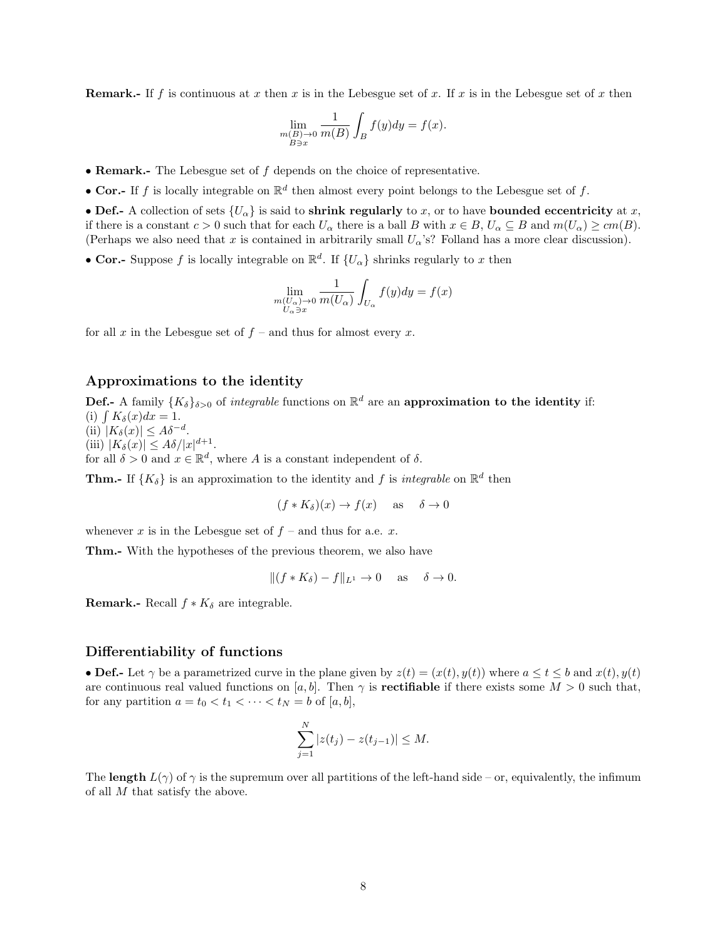**Remark.**- If f is continuous at x then x is in the Lebesgue set of x. If x is in the Lebesgue set of x then

$$
\lim_{\substack{m(B)\to 0\\B\ni x}}\frac{1}{m(B)}\int_B f(y)dy = f(x).
$$

- Remark.- The Lebesgue set of f depends on the choice of representative.
- Cor.- If f is locally integrable on  $\mathbb{R}^d$  then almost every point belongs to the Lebesgue set of f.

• Def.- A collection of sets  $\{U_{\alpha}\}\$ is said to shrink regularly to x, or to have bounded eccentricity at x, if there is a constant  $c > 0$  such that for each  $U_{\alpha}$  there is a ball B with  $x \in B$ ,  $U_{\alpha} \subseteq B$  and  $m(U_{\alpha}) \ge cm(B)$ . (Perhaps we also need that x is contained in arbitrarily small  $U_{\alpha}$ 's? Folland has a more clear discussion).

• Cor.- Suppose f is locally integrable on  $\mathbb{R}^d$ . If  $\{U_\alpha\}$  shrinks regularly to x then

$$
\lim_{\substack{m(U_{\alpha}) \to 0 \\ U_{\alpha} \ni x}} \frac{1}{m(U_{\alpha})} \int_{U_{\alpha}} f(y) dy = f(x)
$$

for all x in the Lebesgue set of  $f$  – and thus for almost every x.

#### Approximations to the identity

**Def.-** A family  $\{K_{\delta}\}_{\delta>0}$  of *integrable* functions on  $\mathbb{R}^{d}$  are an **approximation to the identity** if: (i)  $\int K_\delta(x)dx = 1$ . (ii)  $|K_{\delta}(x)| \leq A\delta^{-d}$ . (iii)  $|K_{\delta}(x)| \leq A\delta/|x|^{d+1}$ . for all  $\delta > 0$  and  $x \in \mathbb{R}^d$ , where A is a constant independent of  $\delta$ .

**Thm.**- If  $\{K_\delta\}$  is an approximation to the identity and f is *integrable* on  $\mathbb{R}^d$  then

 $\mathbf{v}$ 

 $(f * K_{\delta})(x) \to f(x)$  as  $\delta \to 0$ 

whenever x is in the Lebesgue set of  $f$  – and thus for a.e. x.

Thm.- With the hypotheses of the previous theorem, we also have

$$
||(f * K_{\delta}) - f||_{L^{1}} \to 0 \quad \text{as} \quad \delta \to 0.
$$

**Remark.-** Recall  $f * K_{\delta}$  are integrable.

### Differentiability of functions

• Def.- Let  $\gamma$  be a parametrized curve in the plane given by  $z(t) = (x(t), y(t))$  where  $a \le t \le b$  and  $x(t), y(t)$ are continuous real valued functions on [a, b]. Then  $\gamma$  is **rectifiable** if there exists some  $M > 0$  such that, for any partition  $a = t_0 < t_1 < \cdots < t_N = b$  of  $[a, b]$ ,

$$
\sum_{j=1}^{N} |z(t_j) - z(t_{j-1})| \leq M.
$$

The length  $L(\gamma)$  of  $\gamma$  is the supremum over all partitions of the left-hand side – or, equivalently, the infimum of all M that satisfy the above.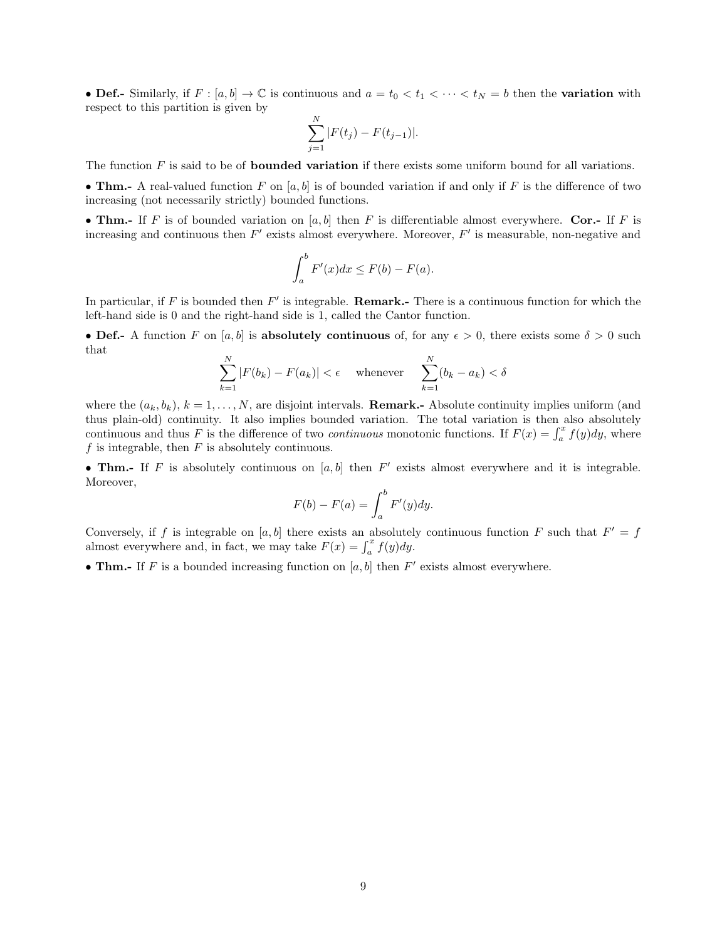• Def.- Similarly, if  $F : [a, b] \to \mathbb{C}$  is continuous and  $a = t_0 < t_1 < \cdots < t_N = b$  then the **variation** with respect to this partition is given by

$$
\sum_{j=1}^{N} |F(t_j) - F(t_{j-1})|.
$$

The function  $F$  is said to be of **bounded variation** if there exists some uniform bound for all variations.

• Thm.- A real-valued function F on  $[a, b]$  is of bounded variation if and only if F is the difference of two increasing (not necessarily strictly) bounded functions.

• Thm.- If F is of bounded variation on [a, b] then F is differentiable almost everywhere. Cor.- If F is increasing and continuous then  $F'$  exists almost everywhere. Moreover,  $F'$  is measurable, non-negative and

$$
\int_a^b F'(x)dx \le F(b) - F(a).
$$

In particular, if F is bounded then  $F'$  is integrable. **Remark.**- There is a continuous function for which the left-hand side is 0 and the right-hand side is 1, called the Cantor function.

• Def.- A function F on [a, b] is absolutely continuous of, for any  $\epsilon > 0$ , there exists some  $\delta > 0$  such that

$$
\sum_{k=1}^{N} |F(b_k) - F(a_k)| < \epsilon \quad \text{whenever} \quad \sum_{k=1}^{N} (b_k - a_k) < \delta
$$

where the  $(a_k, b_k)$ ,  $k = 1, ..., N$ , are disjoint intervals. **Remark.**- Absolute continuity implies uniform (and thus plain-old) continuity. It also implies bounded variation. The total variation is then also absolutely continuous and thus F is the difference of two *continuous* monotonic functions. If  $F(x) = \int_a^x f(y)dy$ , where  $f$  is integrable, then  $F$  is absolutely continuous.

• Thm.- If F is absolutely continuous on  $[a, b]$  then F' exists almost everywhere and it is integrable. Moreover,

$$
F(b) - F(a) = \int_a^b F'(y) dy.
$$

Conversely, if f is integrable on [a, b] there exists an absolutely continuous function F such that  $F' = f$ almost everywhere and, in fact, we may take  $F(x) = \int_a^x f(y) dy$ .

• Thm.- If F is a bounded increasing function on  $[a, b]$  then  $F'$  exists almost everywhere.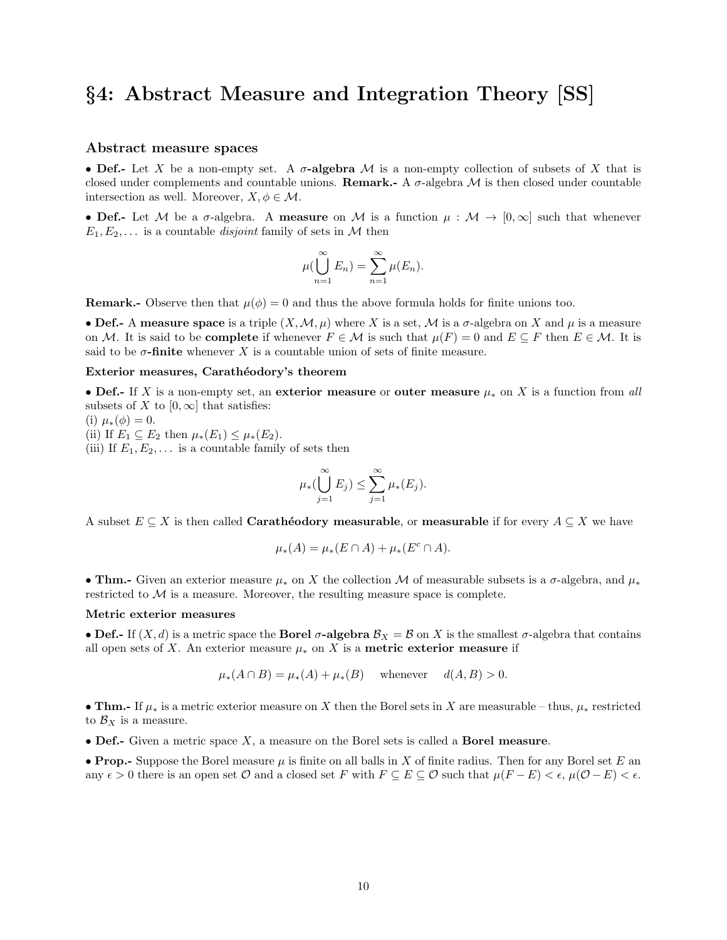## §4: Abstract Measure and Integration Theory [SS]

#### Abstract measure spaces

• Def.- Let X be a non-empty set. A  $\sigma$ -algebra M is a non-empty collection of subsets of X that is closed under complements and countable unions. **Remark.**- A  $\sigma$ -algebra  $\mathcal M$  is then closed under countable intersection as well. Moreover,  $X, \phi \in \mathcal{M}$ .

• Def.- Let M be a  $\sigma$ -algebra. A measure on M is a function  $\mu : \mathcal{M} \to [0,\infty]$  such that whenever  $E_1, E_2, \ldots$  is a countable *disjoint* family of sets in M then

$$
\mu(\bigcup_{n=1}^{\infty} E_n) = \sum_{n=1}^{\infty} \mu(E_n).
$$

**Remark.**- Observe then that  $\mu(\phi) = 0$  and thus the above formula holds for finite unions too.

• Def.- A measure space is a triple  $(X, \mathcal{M}, \mu)$  where X is a set, M is a  $\sigma$ -algebra on X and  $\mu$  is a measure on M. It is said to be **complete** if whenever  $F \in \mathcal{M}$  is such that  $\mu(F) = 0$  and  $E \subseteq F$  then  $E \in \mathcal{M}$ . It is said to be  $\sigma$ -finite whenever X is a countable union of sets of finite measure.

#### Exterior measures, Carathéodory's theorem

• Def.- If X is a non-empty set, an exterior measure or outer measure  $\mu_*$  on X is a function from all subsets of X to  $[0, \infty]$  that satisfies:

(i)  $\mu_*(\phi) = 0.$ 

(ii) If  $E_1 \subseteq E_2$  then  $\mu_*(E_1) \leq \mu_*(E_2)$ .

(iii) If  $E_1, E_2, \ldots$  is a countable family of sets then

$$
\mu_*(\bigcup_{j=1}^{\infty} E_j) \leq \sum_{j=1}^{\infty} \mu_*(E_j).
$$

A subset  $E \subseteq X$  is then called **Carathéodory measurable**, or **measurable** if for every  $A \subseteq X$  we have

$$
\mu_*(A) = \mu_*(E \cap A) + \mu_*(E^c \cap A).
$$

• Thm.- Given an exterior measure  $\mu_*$  on X the collection M of measurable subsets is a  $\sigma$ -algebra, and  $\mu_*$ restricted to  $\mathcal M$  is a measure. Moreover, the resulting measure space is complete.

#### Metric exterior measures

• Def.- If  $(X, d)$  is a metric space the Borel  $\sigma$ -algebra  $\mathcal{B}_X = \mathcal{B}$  on X is the smallest  $\sigma$ -algebra that contains all open sets of X. An exterior measure  $\mu_*$  on X is a **metric exterior measure** if

$$
\mu_*(A \cap B) = \mu_*(A) + \mu_*(B) \quad \text{whenever} \quad d(A, B) > 0.
$$

• Thm.- If  $\mu_*$  is a metric exterior measure on X then the Borel sets in X are measurable – thus,  $\mu_*$  restricted to  $B_X$  is a measure.

• Def.- Given a metric space  $X$ , a measure on the Borel sets is called a **Borel measure**.

• Prop.- Suppose the Borel measure  $\mu$  is finite on all balls in X of finite radius. Then for any Borel set E an any  $\epsilon > 0$  there is an open set  $\mathcal O$  and a closed set F with  $F \subseteq E \subseteq \mathcal O$  such that  $\mu(F - E) < \epsilon$ ,  $\mu(\mathcal O - E) < \epsilon$ .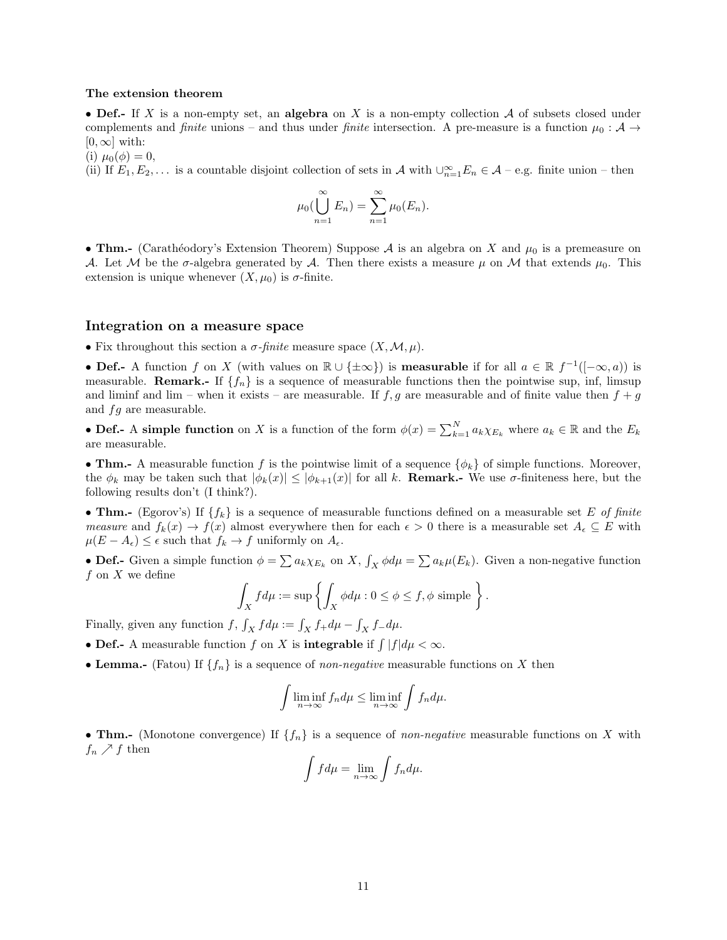#### The extension theorem

• Def.- If X is a non-empty set, an algebra on X is a non-empty collection  $A$  of subsets closed under complements and finite unions – and thus under finite intersection. A pre-measure is a function  $\mu_0 : A \rightarrow$  $[0, \infty]$  with:

(i)  $\mu_0(\phi) = 0$ ,

(ii) If  $E_1, E_2, \ldots$  is a countable disjoint collection of sets in A with  $\bigcup_{n=1}^{\infty} E_n \in \mathcal{A}$  – e.g. finite union – then

$$
\mu_0(\bigcup_{n=1}^{\infty} E_n) = \sum_{n=1}^{\infty} \mu_0(E_n).
$$

• Thm.- (Carathéodory's Extension Theorem) Suppose A is an algebra on X and  $\mu_0$  is a premeasure on A. Let M be the  $\sigma$ -algebra generated by A. Then there exists a measure  $\mu$  on M that extends  $\mu_0$ . This extension is unique whenever  $(X, \mu_0)$  is  $\sigma$ -finite.

#### Integration on a measure space

• Fix throughout this section a  $\sigma$ -finite measure space  $(X, \mathcal{M}, \mu)$ .

• Def.- A function f on X (with values on  $\mathbb{R} \cup {\pm \infty}$ ) is **measurable** if for all  $a \in \mathbb{R}$  f<sup>-1</sup>( $[-\infty, a$ )) is measurable. **Remark.**- If  $\{f_n\}$  is a sequence of measurable functions then the pointwise sup, inf, limsup and liminf and lim – when it exists – are measurable. If  $f, g$  are measurable and of finite value then  $f + g$ and  $fg$  are measurable.

• Def.- A simple function on X is a function of the form  $\phi(x) = \sum_{k=1}^{N} a_k \chi_{E_k}$  where  $a_k \in \mathbb{R}$  and the  $E_k$ are measurable.

• Thm.- A measurable function f is the pointwise limit of a sequence  $\{\phi_k\}$  of simple functions. Moreover, the  $\phi_k$  may be taken such that  $|\phi_k(x)| \leq |\phi_{k+1}(x)|$  for all k. **Remark.**- We use  $\sigma$ -finiteness here, but the following results don't (I think?).

• Thm.- (Egorov's) If  ${f_k}$  is a sequence of measurable functions defined on a measurable set E of finite measure and  $f_k(x) \to f(x)$  almost everywhere then for each  $\epsilon > 0$  there is a measurable set  $A_{\epsilon} \subseteq E$  with  $\mu(E - A_{\epsilon}) \leq \epsilon$  such that  $f_k \to f$  uniformly on  $A_{\epsilon}$ .

• Def.- Given a simple function  $\phi = \sum a_k \chi_{E_k}$  on X,  $\int_X \phi d\mu = \sum a_k \mu(E_k)$ . Given a non-negative function  $f$  on  $X$  we define

$$
\int_X f d\mu := \sup \left\{ \int_X \phi d\mu : 0 \le \phi \le f, \phi \text{ simple } \right\}.
$$

Finally, given any function  $f$ ,  $\int_X f d\mu := \int_X f_+ d\mu - \int_X f_- d\mu$ .

- Def.- A measurable function f on X is integrable if  $\int |f| d\mu < \infty$ .
- Lemma.- (Fatou) If  $\{f_n\}$  is a sequence of non-negative measurable functions on X then

$$
\int \liminf_{n \to \infty} f_n d\mu \le \liminf_{n \to \infty} \int f_n d\mu.
$$

• Thm.- (Monotone convergence) If  $\{f_n\}$  is a sequence of *non-negative* measurable functions on X with  $f_n \nearrow f$  then

$$
\int f d\mu = \lim_{n \to \infty} \int f_n d\mu.
$$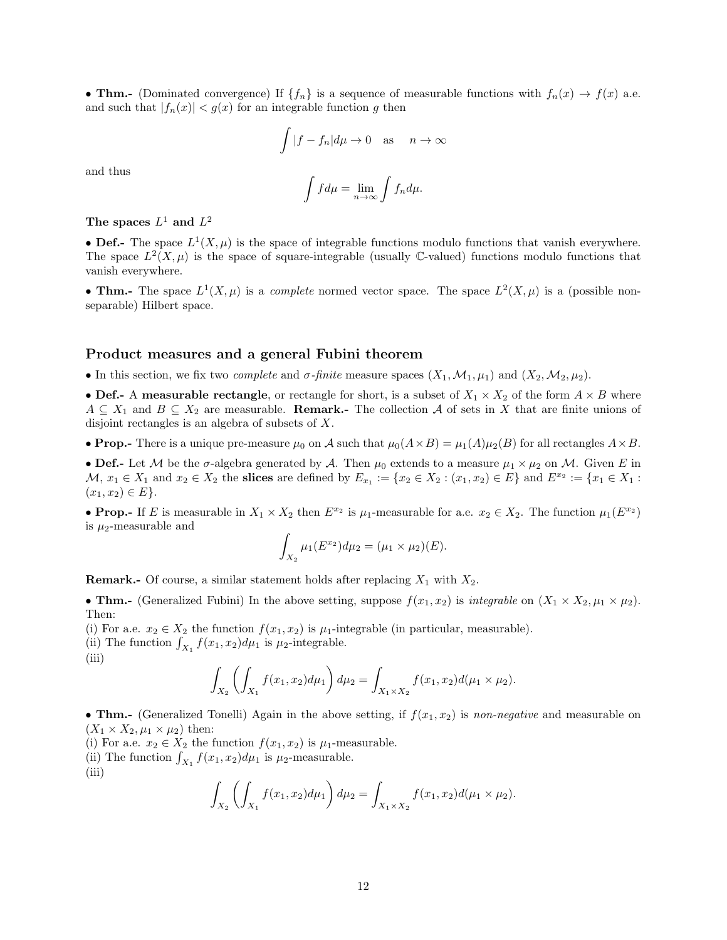• Thm.- (Dominated convergence) If  $\{f_n\}$  is a sequence of measurable functions with  $f_n(x) \to f(x)$  a.e. and such that  $|f_n(x)| < g(x)$  for an integrable function g then

$$
\int |f - f_n| d\mu \to 0 \quad \text{as} \quad n \to \infty
$$

and thus

$$
\int f d\mu = \lim_{n \to \infty} \int f_n d\mu.
$$

### The spaces  $L^1$  and  $L^2$

• Def.- The space  $L^1(X,\mu)$  is the space of integrable functions modulo functions that vanish everywhere. The space  $L^2(X,\mu)$  is the space of square-integrable (usually C-valued) functions modulo functions that vanish everywhere.

• Thm.- The space  $L^1(X,\mu)$  is a *complete* normed vector space. The space  $L^2(X,\mu)$  is a (possible nonseparable) Hilbert space.

#### Product measures and a general Fubini theorem

• In this section, we fix two *complete* and  $\sigma$ -finite measure spaces  $(X_1,\mathcal{M}_1,\mu_1)$  and  $(X_2,\mathcal{M}_2,\mu_2)$ .

• Def.- A measurable rectangle, or rectangle for short, is a subset of  $X_1 \times X_2$  of the form  $A \times B$  where  $A \subseteq X_1$  and  $B \subseteq X_2$  are measurable. **Remark.**- The collection A of sets in X that are finite unions of disjoint rectangles is an algebra of subsets of X.

• **Prop.**- There is a unique pre-measure  $\mu_0$  on A such that  $\mu_0(A \times B) = \mu_1(A)\mu_2(B)$  for all rectangles  $A \times B$ .

• Def.- Let M be the  $\sigma$ -algebra generated by A. Then  $\mu_0$  extends to a measure  $\mu_1 \times \mu_2$  on M. Given E in  $M, x_1 \in X_1$  and  $x_2 \in X_2$  the **slices** are defined by  $E_{x_1} := \{x_2 \in X_2 : (x_1, x_2) \in E\}$  and  $E^{x_2} := \{x_1 \in X_1 : x_2 \in E\}$  $(x_1, x_2) \in E$ .

• Prop.- If E is measurable in  $X_1 \times X_2$  then  $E^{x_2}$  is  $\mu_1$ -measurable for a.e.  $x_2 \in X_2$ . The function  $\mu_1(E^{x_2})$ is  $\mu_2$ -measurable and

$$
\int_{X_2} \mu_1(E^{x_2}) d\mu_2 = (\mu_1 \times \mu_2)(E).
$$

**Remark.**- Of course, a similar statement holds after replacing  $X_1$  with  $X_2$ .

• Thm.- (Generalized Fubini) In the above setting, suppose  $f(x_1, x_2)$  is integrable on  $(X_1 \times X_2, \mu_1 \times \mu_2)$ . Then:

(i) For a.e.  $x_2 \in X_2$  the function  $f(x_1, x_2)$  is  $\mu_1$ -integrable (in particular, measurable).

(ii) The function  $\int_{X_1} f(x_1, x_2) d\mu_1$  is  $\mu_2$ -integrable.

(iii)

$$
\int_{X_2} \left( \int_{X_1} f(x_1, x_2) d\mu_1 \right) d\mu_2 = \int_{X_1 \times X_2} f(x_1, x_2) d(\mu_1 \times \mu_2).
$$

• Thm.- (Generalized Tonelli) Again in the above setting, if  $f(x_1, x_2)$  is non-negative and measurable on  $(X_1 \times X_2, \mu_1 \times \mu_2)$  then:

(i) For a.e.  $x_2 \in X_2$  the function  $f(x_1, x_2)$  is  $\mu_1$ -measurable.

(ii) The function  $\int_{X_1} f(x_1, x_2) d\mu_1$  is  $\mu_2$ -measurable.

 $(iii)$ 

$$
\int_{X_2} \left( \int_{X_1} f(x_1, x_2) d\mu_1 \right) d\mu_2 = \int_{X_1 \times X_2} f(x_1, x_2) d(\mu_1 \times \mu_2).
$$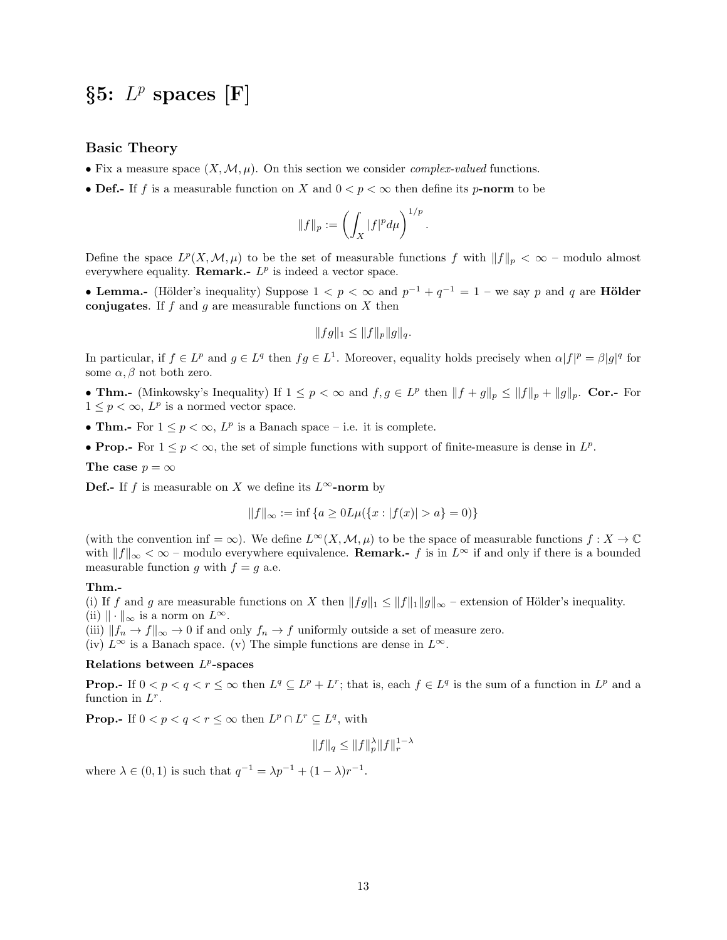## $\S5: L^p$  spaces [F]

#### Basic Theory

- Fix a measure space  $(X, \mathcal{M}, \mu)$ . On this section we consider *complex-valued* functions.
- **Def.-** If f is a measurable function on X and  $0 < p < \infty$  then define its p-norm to be

$$
||f||_p := \left(\int_X |f|^p d\mu\right)^{1/p}.
$$

Define the space  $L^p(X, \mathcal{M}, \mu)$  to be the set of measurable functions f with  $||f||_p < \infty$  – modulo almost everywhere equality. **Remark.**-  $L^p$  is indeed a vector space.

• Lemma.- (Hölder's inequality) Suppose  $1 < p < \infty$  and  $p^{-1} + q^{-1} = 1$  – we say p and q are Hölder conjugates. If f and g are measurable functions on  $X$  then

$$
||fg||_1 \leq ||f||_p ||g||_q.
$$

In particular, if  $f \in L^p$  and  $g \in L^q$  then  $fg \in L^1$ . Moreover, equality holds precisely when  $\alpha |f|^p = \beta |g|^q$  for some  $\alpha$ ,  $\beta$  not both zero.

• Thm.- (Minkowsky's Inequality) If  $1 \leq p < \infty$  and  $f, g \in L^p$  then  $||f + g||_p \leq ||f||_p + ||g||_p$ . Cor.- For  $1 \leq p < \infty$ ,  $L^p$  is a normed vector space.

- Thm.- For  $1 \leq p < \infty$ ,  $L^p$  is a Banach space i.e. it is complete.
- Prop.- For  $1 \leq p < \infty$ , the set of simple functions with support of finite-measure is dense in  $L^p$ .

The case  $p = \infty$ 

**Def.-** If f is measurable on X we define its  $L^{\infty}$ -norm by

$$
||f||_{\infty} := \inf \{ a \ge 0L\mu(\{x : |f(x)| > a\} = 0) \}
$$

(with the convention inf =  $\infty$ ). We define  $L^{\infty}(X, \mathcal{M}, \mu)$  to be the space of measurable functions  $f : X \to \mathbb{C}$ with  $||f||_{\infty} < \infty$  – modulo everywhere equivalence. **Remark.**- f is in  $L^{\infty}$  if and only if there is a bounded measurable function g with  $f = g$  a.e.

#### Thm.-

(i) If f and g are measurable functions on X then  $||fg||_1 \le ||f||_1 ||g||_{\infty}$  – extension of Hölder's inequality. (ii)  $\|\cdot\|_{\infty}$  is a norm on  $L^{\infty}$ .

(iii)  $||f_n \to f||_{\infty} \to 0$  if and only  $f_n \to f$  uniformly outside a set of measure zero.

(iv)  $L^{\infty}$  is a Banach space. (v) The simple functions are dense in  $L^{\infty}$ .

### Relations between  $L^p$ -spaces

**Prop.**- If  $0 < p < q < r \leq \infty$  then  $L^q \subseteq L^p + L^r$ ; that is, each  $f \in L^q$  is the sum of a function in  $L^p$  and a function in  $L^r$ .

**Prop.**- If  $0 < p < q < r \leq \infty$  then  $L^p \cap L^r \subseteq L^q$ , with

$$
||f||_q \leq ||f||_p^{\lambda} ||f||_r^{1-\lambda}
$$

where  $\lambda \in (0, 1)$  is such that  $q^{-1} = \lambda p^{-1} + (1 - \lambda)r^{-1}$ .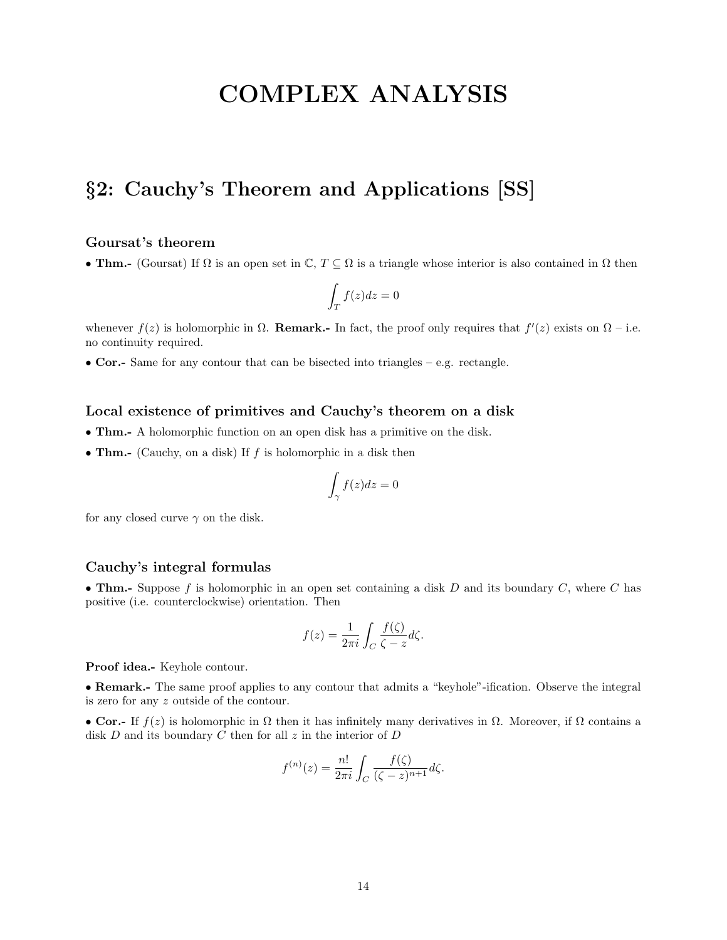# COMPLEX ANALYSIS

## §2: Cauchy's Theorem and Applications [SS]

### Goursat's theorem

• Thm.- (Goursat) If  $\Omega$  is an open set in  $\mathbb{C}, T \subseteq \Omega$  is a triangle whose interior is also contained in  $\Omega$  then

$$
\int_T f(z)dz = 0
$$

whenever  $f(z)$  is holomorphic in  $\Omega$ . **Remark.**- In fact, the proof only requires that  $f'(z)$  exists on  $\Omega$  – i.e. no continuity required.

• Cor.- Same for any contour that can be bisected into triangles – e.g. rectangle.

#### Local existence of primitives and Cauchy's theorem on a disk

- Thm.- A holomorphic function on an open disk has a primitive on the disk.
- **Thm.** (Cauchy, on a disk) If  $f$  is holomorphic in a disk then

$$
\int_{\gamma} f(z)dz = 0
$$

for any closed curve  $\gamma$  on the disk.

### Cauchy's integral formulas

• Thm.- Suppose f is holomorphic in an open set containing a disk  $D$  and its boundary  $C$ , where  $C$  has positive (i.e. counterclockwise) orientation. Then

$$
f(z) = \frac{1}{2\pi i} \int_C \frac{f(\zeta)}{\zeta - z} d\zeta.
$$

Proof idea.- Keyhole contour.

• Remark.- The same proof applies to any contour that admits a "keyhole"-ification. Observe the integral is zero for any z outside of the contour.

• Cor.- If  $f(z)$  is holomorphic in  $\Omega$  then it has infinitely many derivatives in  $\Omega$ . Moreover, if  $\Omega$  contains a disk  $D$  and its boundary  $C$  then for all  $z$  in the interior of  $D$ 

$$
f^{(n)}(z) = \frac{n!}{2\pi i} \int_C \frac{f(\zeta)}{(\zeta - z)^{n+1}} d\zeta.
$$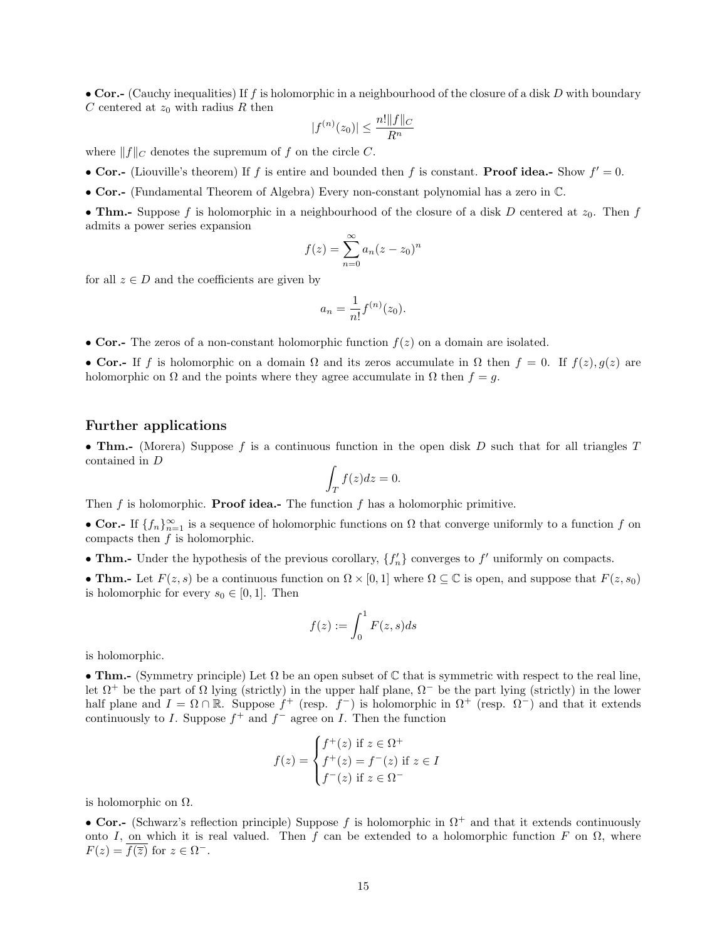• Cor.- (Cauchy inequalities) If f is holomorphic in a neighbourhood of the closure of a disk D with boundary C centered at  $z_0$  with radius R then

$$
|f^{(n)}(z_0)| \le \frac{n! \|f\|_C}{R^n}
$$

where  $\|f\|_C$  denotes the supremum of  $f$  on the circle  $C.$ 

- Cor.- (Liouville's theorem) If f is entire and bounded then f is constant. Proof idea.- Show  $f' = 0$ .
- Cor.- (Fundamental Theorem of Algebra) Every non-constant polynomial has a zero in C.

• Thm.- Suppose f is holomorphic in a neighbourhood of the closure of a disk D centered at  $z_0$ . Then f admits a power series expansion

$$
f(z) = \sum_{n=0}^{\infty} a_n (z - z_0)^n
$$

for all  $z \in D$  and the coefficients are given by

$$
a_n = \frac{1}{n!} f^{(n)}(z_0).
$$

• Cor.- The zeros of a non-constant holomorphic function  $f(z)$  on a domain are isolated.

• Cor.- If f is holomorphic on a domain  $\Omega$  and its zeros accumulate in  $\Omega$  then  $f = 0$ . If  $f(z)$ ,  $g(z)$  are holomorphic on  $\Omega$  and the points where they agree accumulate in  $\Omega$  then  $f = g$ .

#### Further applications

• Thm.- (Morera) Suppose  $f$  is a continuous function in the open disk  $D$  such that for all triangles  $T$ contained in D

$$
\int_T f(z)dz = 0.
$$

Then f is holomorphic. **Proof idea.**- The function f has a holomorphic primitive.

• Cor.- If  $\{f_n\}_{n=1}^{\infty}$  is a sequence of holomorphic functions on  $\Omega$  that converge uniformly to a function f on compacts then  $f$  is holomorphic.

- Thm.- Under the hypothesis of the previous corollary,  $\{f'_n\}$  converges to  $f'$  uniformly on compacts.
- Thm.- Let  $F(z, s)$  be a continuous function on  $\Omega \times [0, 1]$  where  $\Omega \subseteq \mathbb{C}$  is open, and suppose that  $F(z, s_0)$ is holomorphic for every  $s_0 \in [0, 1]$ . Then

$$
f(z) := \int_0^1 F(z, s) ds
$$

is holomorphic.

• Thm.- (Symmetry principle) Let  $\Omega$  be an open subset of C that is symmetric with respect to the real line, let  $\Omega^+$  be the part of  $\Omega$  lying (strictly) in the upper half plane,  $\Omega^-$  be the part lying (strictly) in the lower half plane and  $I = \Omega \cap \mathbb{R}$ . Suppose  $f^+$  (resp.  $f^-$ ) is holomorphic in  $\Omega^+$  (resp.  $\Omega^-$ ) and that it extends continuously to I. Suppose  $f^+$  and  $f^-$  agree on I. Then the function

$$
f(z) = \begin{cases} f^+(z) & \text{if } z \in \Omega^+ \\ f^+(z) = f^-(z) & \text{if } z \in I \\ f^-(z) & \text{if } z \in \Omega^- \end{cases}
$$

is holomorphic on  $\Omega$ .

• Cor.- (Schwarz's reflection principle) Suppose f is holomorphic in  $\Omega^+$  and that it extends continuously onto I, on which it is real valued. Then f can be extended to a holomorphic function F on  $\Omega$ , where  $F(z) = \overline{f(\overline{z})}$  for  $z \in \Omega^{-}$ .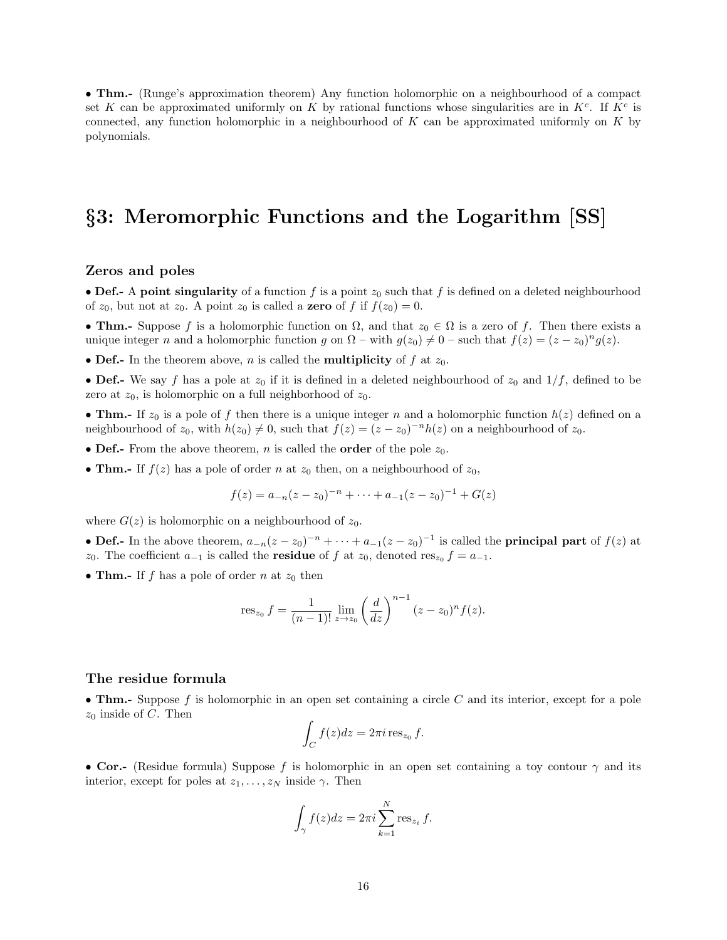• Thm.- (Runge's approximation theorem) Any function holomorphic on a neighbourhood of a compact set K can be approximated uniformly on K by rational functions whose singularities are in  $K^c$ . If  $K^c$  is connected, any function holomorphic in a neighbourhood of  $K$  can be approximated uniformly on  $K$  by polynomials.

## §3: Meromorphic Functions and the Logarithm [SS]

#### Zeros and poles

• Def.- A point singularity of a function f is a point  $z_0$  such that f is defined on a deleted neighbourhood of  $z_0$ , but not at  $z_0$ . A point  $z_0$  is called a **zero** of f if  $f(z_0) = 0$ .

• Thm.- Suppose f is a holomorphic function on  $\Omega$ , and that  $z_0 \in \Omega$  is a zero of f. Then there exists a unique integer n and a holomorphic function g on  $\Omega$  – with  $g(z_0) \neq 0$  – such that  $f(z) = (z - z_0)^n g(z)$ .

• Def.- In the theorem above, *n* is called the **multiplicity** of f at  $z_0$ .

• Def.- We say f has a pole at  $z_0$  if it is defined in a deleted neighbourhood of  $z_0$  and  $1/f$ , defined to be zero at  $z_0$ , is holomorphic on a full neighborhood of  $z_0$ .

• Thm.- If  $z_0$  is a pole of f then there is a unique integer n and a holomorphic function  $h(z)$  defined on a neighbourhood of  $z_0$ , with  $h(z_0) \neq 0$ , such that  $f(z) = (z - z_0)^{-n}h(z)$  on a neighbourhood of  $z_0$ .

- Def.- From the above theorem, *n* is called the **order** of the pole  $z_0$ .
- **Thm.** If  $f(z)$  has a pole of order n at  $z_0$  then, on a neighbourhood of  $z_0$ ,

$$
f(z) = a_{-n}(z - z_0)^{-n} + \dots + a_{-1}(z - z_0)^{-1} + G(z)
$$

where  $G(z)$  is holomorphic on a neighbourhood of  $z_0$ .

• Def.- In the above theorem,  $a_{-n}(z-z_0)^{-n} + \cdots + a_{-1}(z-z_0)^{-1}$  is called the **principal part** of  $f(z)$  at  $z_0$ . The coefficient  $a_{-1}$  is called the **residue** of f at  $z_0$ , denoted res<sub> $z_0$ </sub>  $f = a_{-1}$ .

• Thm.- If f has a pole of order n at  $z_0$  then

res<sub>z<sub>0</sub></sub> 
$$
f = \frac{1}{(n-1)!} \lim_{z \to z_0} \left(\frac{d}{dz}\right)^{n-1} (z - z_0)^n f(z).
$$

#### The residue formula

• Thm.- Suppose f is holomorphic in an open set containing a circle  $C$  and its interior, except for a pole  $z_0$  inside of C. Then

$$
\int_C f(z)dz = 2\pi i \operatorname{res}_{z_0} f.
$$

• Cor.- (Residue formula) Suppose f is holomorphic in an open set containing a toy contour  $\gamma$  and its interior, except for poles at  $z_1, \ldots, z_N$  inside  $\gamma$ . Then

$$
\int_{\gamma} f(z)dz = 2\pi i \sum_{k=1}^{N} \text{res}_{z_i} f.
$$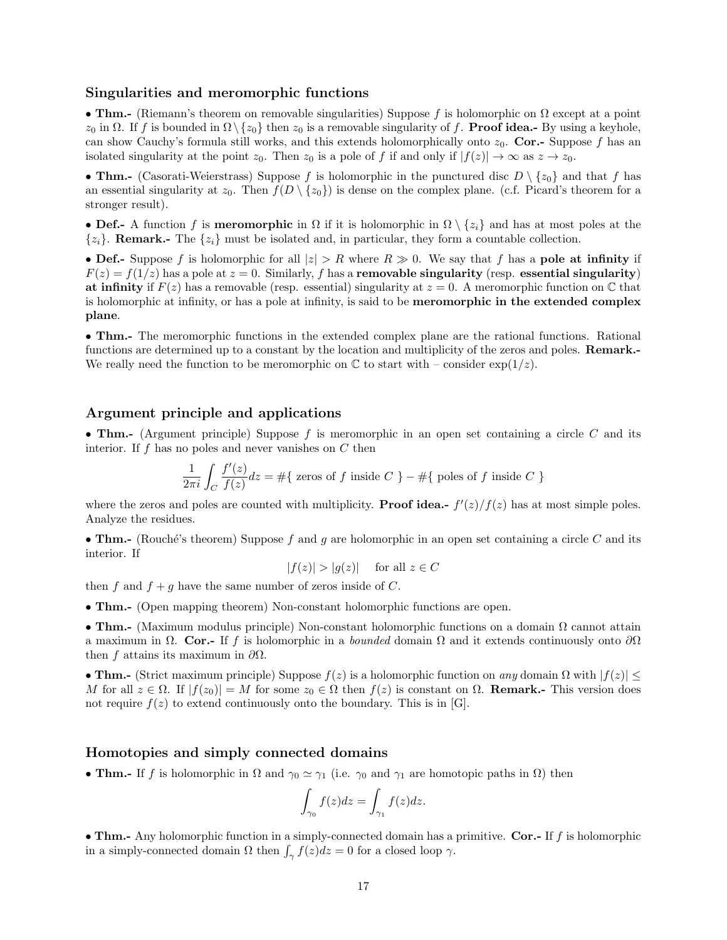#### Singularities and meromorphic functions

• Thm.- (Riemann's theorem on removable singularities) Suppose f is holomorphic on  $\Omega$  except at a point  $z_0$  in  $\Omega$ . If f is bounded in  $\Omega \setminus \{z_0\}$  then  $z_0$  is a removable singularity of f. **Proof idea.**- By using a keyhole, can show Cauchy's formula still works, and this extends holomorphically onto  $z_0$ . Cor.- Suppose f has an isolated singularity at the point  $z_0$ . Then  $z_0$  is a pole of f if and only if  $|f(z)| \to \infty$  as  $z \to z_0$ .

• Thm.- (Casorati-Weierstrass) Suppose f is holomorphic in the punctured disc  $D \setminus \{z_0\}$  and that f has an essential singularity at  $z_0$ . Then  $f(D \setminus \{z_0\})$  is dense on the complex plane. (c.f. Picard's theorem for a stronger result).

• Def.- A function f is **meromorphic** in  $\Omega$  if it is holomorphic in  $\Omega \setminus \{z_i\}$  and has at most poles at the  $\{z_i\}$ . **Remark.**- The  $\{z_i\}$  must be isolated and, in particular, they form a countable collection.

• Def.- Suppose f is holomorphic for all  $|z| > R$  where  $R \gg 0$ . We say that f has a pole at infinity if  $F(z) = f(1/z)$  has a pole at  $z = 0$ . Similarly, f has a removable singularity (resp. essential singularity) at infinity if  $F(z)$  has a removable (resp. essential) singularity at  $z = 0$ . A meromorphic function on  $\mathbb C$  that is holomorphic at infinity, or has a pole at infinity, is said to be meromorphic in the extended complex plane.

• Thm.- The meromorphic functions in the extended complex plane are the rational functions. Rational functions are determined up to a constant by the location and multiplicity of the zeros and poles. Remark.- We really need the function to be meromorphic on  $\mathbb C$  to start with – consider  $\exp(1/z)$ .

#### Argument principle and applications

• Thm.- (Argument principle) Suppose f is meromorphic in an open set containing a circle  $C$  and its interior. If  $f$  has no poles and never vanishes on  $C$  then

$$
\frac{1}{2\pi i} \int_C \frac{f'(z)}{f(z)} dz = \#\{ \text{ zeros of } f \text{ inside } C \} - \#\{ \text{ poles of } f \text{ inside } C \}
$$

where the zeros and poles are counted with multiplicity. **Proof idea.**-  $f'(z)/f(z)$  has at most simple poles. Analyze the residues.

• Thm.- (Rouché's theorem) Suppose f and g are holomorphic in an open set containing a circle C and its interior. If

$$
|f(z)| > |g(z)| \quad \text{ for all } z \in C
$$

then f and  $f + g$  have the same number of zeros inside of C.

• Thm.- (Open mapping theorem) Non-constant holomorphic functions are open.

• Thm.- (Maximum modulus principle) Non-constant holomorphic functions on a domain  $\Omega$  cannot attain a maximum in  $\Omega$ . Cor.- If f is holomorphic in a *bounded* domain  $\Omega$  and it extends continuously onto  $\partial\Omega$ then f attains its maximum in  $\partial\Omega$ .

• Thm.- (Strict maximum principle) Suppose  $f(z)$  is a holomorphic function on any domain  $\Omega$  with  $|f(z)| \leq$ M for all  $z \in \Omega$ . If  $|f(z_0)| = M$  for some  $z_0 \in \Omega$  then  $f(z)$  is constant on  $\Omega$ . **Remark.**- This version does not require  $f(z)$  to extend continuously onto the boundary. This is in [G].

#### Homotopies and simply connected domains

• **Thm.**- If f is holomorphic in  $\Omega$  and  $\gamma_0 \simeq \gamma_1$  (i.e.  $\gamma_0$  and  $\gamma_1$  are homotopic paths in  $\Omega$ ) then

$$
\int_{\gamma_0} f(z)dz = \int_{\gamma_1} f(z)dz.
$$

• Thm.- Any holomorphic function in a simply-connected domain has a primitive. Cor.- If  $f$  is holomorphic in a simply-connected domain  $\Omega$  then  $\int_{\gamma} f(z)dz = 0$  for a closed loop  $\gamma$ .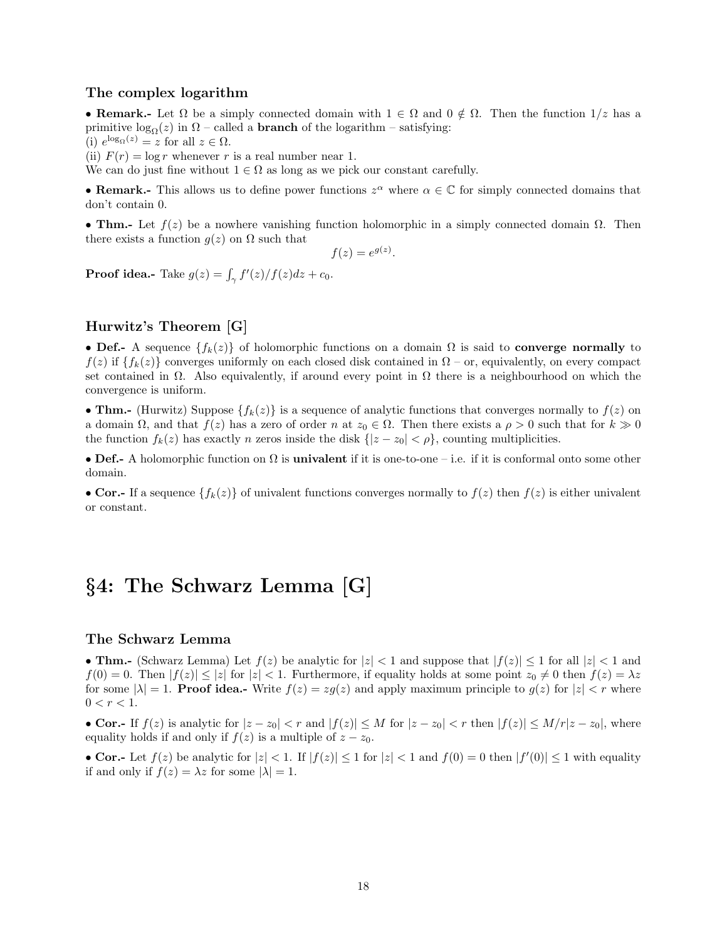#### The complex logarithm

• Remark.- Let  $\Omega$  be a simply connected domain with  $1 \in \Omega$  and  $0 \notin \Omega$ . Then the function  $1/z$  has a primitive  $\log_{\Omega}(z)$  in  $\Omega$  – called a **branch** of the logarithm – satisfying: (i)  $e^{\log_{\Omega}(z)} = z$  for all  $z \in \Omega$ .

(ii)  $F(r) = \log r$  whenever r is a real number near 1.

We can do just fine without  $1 \in \Omega$  as long as we pick our constant carefully.

• Remark.- This allows us to define power functions  $z^{\alpha}$  where  $\alpha \in \mathbb{C}$  for simply connected domains that don't contain 0.

• Thm.- Let  $f(z)$  be a nowhere vanishing function holomorphic in a simply connected domain  $\Omega$ . Then there exists a function  $g(z)$  on  $\Omega$  such that

$$
f(z) = e^{g(z)}.
$$

**Proof idea.**- Take  $g(z) = \int_{\gamma} f'(z)/f(z)dz + c_0$ .

### Hurwitz's Theorem [G]

• Def.- A sequence  ${f_k(z)}$  of holomorphic functions on a domain  $\Omega$  is said to converge normally to  $f(z)$  if  ${f_k(z)}$  converges uniformly on each closed disk contained in  $\Omega$  – or, equivalently, on every compact set contained in  $\Omega$ . Also equivalently, if around every point in  $\Omega$  there is a neighbourhood on which the convergence is uniform.

• Thm.- (Hurwitz) Suppose  $\{f_k(z)\}\$ is a sequence of analytic functions that converges normally to  $f(z)$  on a domain  $\Omega$ , and that  $f(z)$  has a zero of order n at  $z_0 \in \Omega$ . Then there exists a  $\rho > 0$  such that for  $k \gg 0$ the function  $f_k(z)$  has exactly n zeros inside the disk  $\{|z - z_0| < \rho\}$ , counting multiplicities.

• Def.- A holomorphic function on  $\Omega$  is univalent if it is one-to-one – i.e. if it is conformal onto some other domain.

• Cor.- If a sequence  $\{f_k(z)\}\$  of univalent functions converges normally to  $f(z)$  then  $f(z)$  is either univalent or constant.

## §4: The Schwarz Lemma [G]

### The Schwarz Lemma

• Thm.- (Schwarz Lemma) Let  $f(z)$  be analytic for  $|z| < 1$  and suppose that  $|f(z)| \leq 1$  for all  $|z| < 1$  and  $f(0) = 0$ . Then  $|f(z)| \le |z|$  for  $|z| < 1$ . Furthermore, if equality holds at some point  $z_0 \ne 0$  then  $f(z) = \lambda z$ for some  $|\lambda| = 1$ . **Proof idea.**- Write  $f(z) = zg(z)$  and apply maximum principle to  $g(z)$  for  $|z| < r$  where  $0 < r < 1$ .

• Cor.- If  $f(z)$  is analytic for  $|z - z_0| < r$  and  $|f(z)| \leq M$  for  $|z - z_0| < r$  then  $|f(z)| \leq M/r|z - z_0|$ , where equality holds if and only if  $f(z)$  is a multiple of  $z - z_0$ .

• Cor.- Let  $f(z)$  be analytic for  $|z| < 1$ . If  $|f(z)| \leq 1$  for  $|z| < 1$  and  $f(0) = 0$  then  $|f'(0)| \leq 1$  with equality if and only if  $f(z) = \lambda z$  for some  $|\lambda| = 1$ .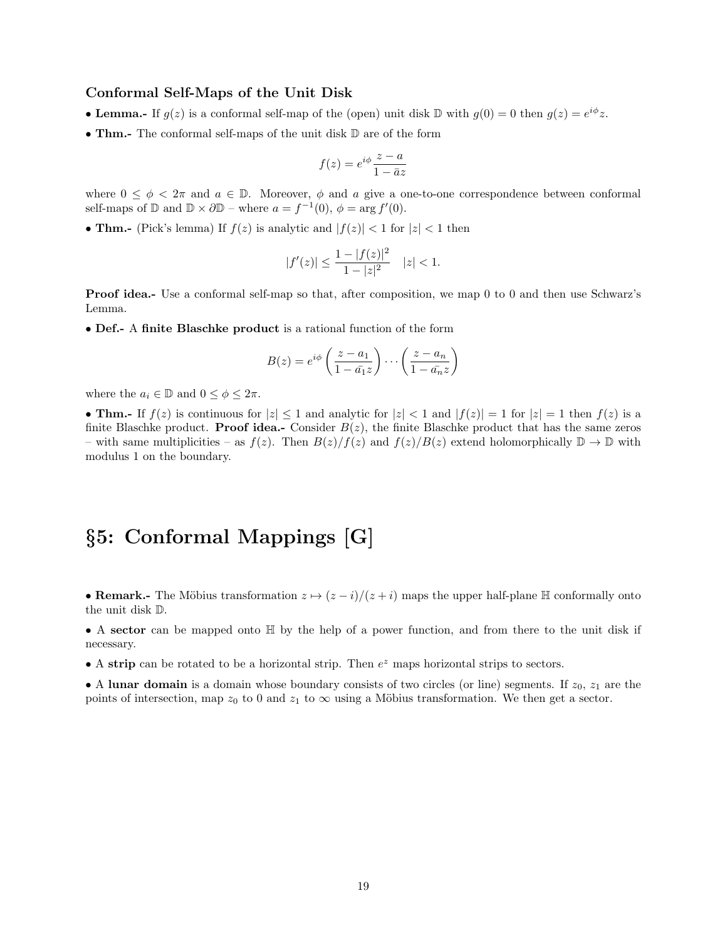#### Conformal Self-Maps of the Unit Disk

- Lemma.- If  $g(z)$  is a conformal self-map of the (open) unit disk  $\mathbb D$  with  $g(0) = 0$  then  $g(z) = e^{i\phi}z$ .
- Thm.- The conformal self-maps of the unit disk  $\mathbb D$  are of the form

$$
f(z) = e^{i\phi} \frac{z - a}{1 - \bar{a}z}
$$

where  $0 \le \phi \le 2\pi$  and  $a \in \mathbb{D}$ . Moreover,  $\phi$  and a give a one-to-one correspondence between conformal self-maps of  $\mathbb{D}$  and  $\mathbb{D} \times \partial \mathbb{D}$  – where  $a = f^{-1}(0), \phi = \arg f'(0)$ .

• Thm.- (Pick's lemma) If  $f(z)$  is analytic and  $|f(z)| < 1$  for  $|z| < 1$  then

$$
|f'(z)| \le \frac{1 - |f(z)|^2}{1 - |z|^2} \quad |z| < 1.
$$

Proof idea.- Use a conformal self-map so that, after composition, we map 0 to 0 and then use Schwarz's Lemma.

• Def.- A finite Blaschke product is a rational function of the form

$$
B(z) = e^{i\phi} \left( \frac{z - a_1}{1 - \bar{a_1} z} \right) \cdots \left( \frac{z - a_n}{1 - \bar{a_n} z} \right)
$$

where the  $a_i \in \mathbb{D}$  and  $0 \leq \phi \leq 2\pi$ .

• Thm.- If  $f(z)$  is continuous for  $|z| \leq 1$  and analytic for  $|z| < 1$  and  $|f(z)| = 1$  for  $|z| = 1$  then  $f(z)$  is a finite Blaschke product. **Proof idea.-** Consider  $B(z)$ , the finite Blaschke product that has the same zeros – with same multiplicities – as  $f(z)$ . Then  $B(z)/f(z)$  and  $f(z)/B(z)$  extend holomorphically  $\mathbb{D} \to \mathbb{D}$  with modulus 1 on the boundary.

## §5: Conformal Mappings [G]

• Remark.- The Möbius transformation  $z \mapsto (z - i)/(z + i)$  maps the upper half-plane H conformally onto the unit disk D.

• A sector can be mapped onto  $\mathbb H$  by the help of a power function, and from there to the unit disk if necessary.

• A strip can be rotated to be a horizontal strip. Then  $e^z$  maps horizontal strips to sectors.

• A lunar domain is a domain whose boundary consists of two circles (or line) segments. If  $z_0$ ,  $z_1$  are the points of intersection, map  $z_0$  to 0 and  $z_1$  to  $\infty$  using a Möbius transformation. We then get a sector.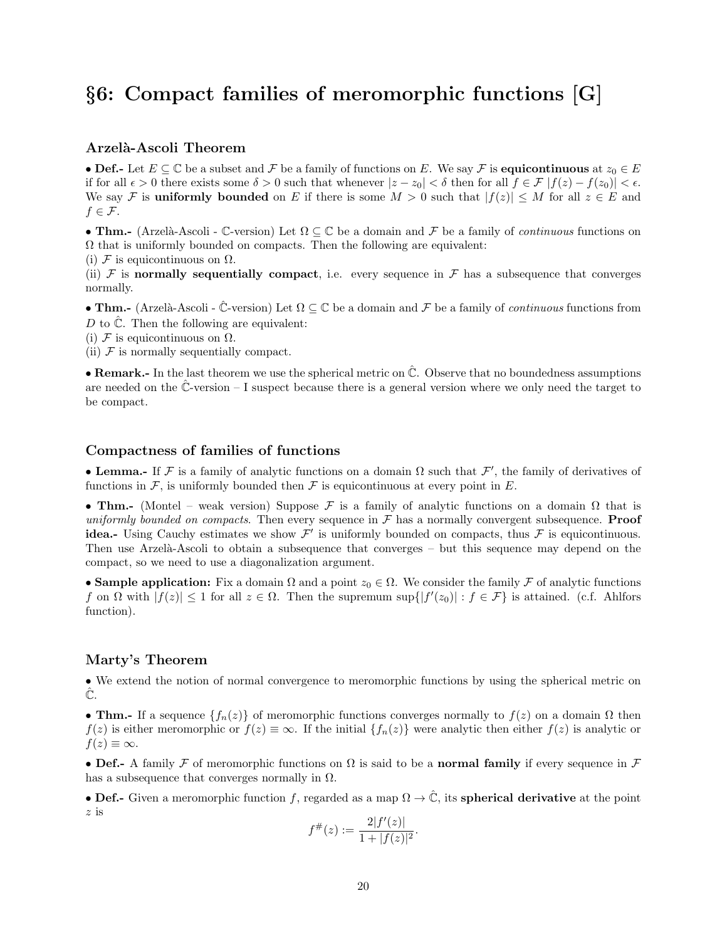## §6: Compact families of meromorphic functions [G]

### Arzelà-Ascoli Theorem

• Def.- Let  $E \subseteq \mathbb{C}$  be a subset and  $\mathcal F$  be a family of functions on E. We say  $\mathcal F$  is equicontinuous at  $z_0 \in E$ if for all  $\epsilon > 0$  there exists some  $\delta > 0$  such that whenever  $|z - z_0| < \delta$  then for all  $f \in \mathcal{F} |f(z) - f(z_0)| < \epsilon$ . We say F is uniformly bounded on E if there is some  $M > 0$  such that  $|f(z)| \leq M$  for all  $z \in E$  and  $f \in \mathcal{F}$ .

• Thm.- (Arzelà-Ascoli - C-version) Let  $\Omega \subset \mathbb{C}$  be a domain and F be a family of *continuous* functions on  $\Omega$  that is uniformly bounded on compacts. Then the following are equivalent:

(i)  $\mathcal F$  is equicontinuous on  $\Omega$ .

(ii)  $\mathcal F$  is normally sequentially compact, i.e. every sequence in  $\mathcal F$  has a subsequence that converges normally.

• Thm.- (Arzelà-Ascoli -  $\mathbb{C}$ -version) Let  $\Omega \subseteq \mathbb{C}$  be a domain and F be a family of *continuous* functions from  $D$  to  $\ddot{\mathbb{C}}$ . Then the following are equivalent:

(i)  $\mathcal F$  is equicontinuous on  $\Omega$ .

(ii)  $F$  is normally sequentially compact.

• Remark.- In the last theorem we use the spherical metric on  $\ddot{\mathbb{C}}$ . Observe that no boundedness assumptions are needed on the Cˆ-version – I suspect because there is a general version where we only need the target to be compact.

#### Compactness of families of functions

• Lemma.- If F is a family of analytic functions on a domain  $\Omega$  such that  $\mathcal{F}'$ , the family of derivatives of functions in  $\mathcal F$ , is uniformly bounded then  $\mathcal F$  is equicontinuous at every point in E.

• Thm.- (Montel – weak version) Suppose F is a family of analytic functions on a domain  $\Omega$  that is uniformly bounded on compacts. Then every sequence in  $\mathcal F$  has a normally convergent subsequence. **Proof** idea.- Using Cauchy estimates we show  $\mathcal{F}'$  is uniformly bounded on compacts, thus  $\mathcal F$  is equicontinuous. Then use Arzelà-Ascoli to obtain a subsequence that converges – but this sequence may depend on the compact, so we need to use a diagonalization argument.

• Sample application: Fix a domain  $\Omega$  and a point  $z_0 \in \Omega$ . We consider the family F of analytic functions f on  $\Omega$  with  $|f(z)| \leq 1$  for all  $z \in \Omega$ . Then the supremum sup $\{|f'(z_0)| : f \in \mathcal{F}\}\$ is attained. (c.f. Ahlfors function).

### Marty's Theorem

• We extend the notion of normal convergence to meromorphic functions by using the spherical metric on  $\mathbb{C}.$ 

• Thm.- If a sequence  $\{f_n(z)\}\$  of meromorphic functions converges normally to  $f(z)$  on a domain  $\Omega$  then  $f(z)$  is either meromorphic or  $f(z) \equiv \infty$ . If the initial  $\{f_n(z)\}$  were analytic then either  $f(z)$  is analytic or  $f(z) \equiv \infty$ .

• Def.- A family F of meromorphic functions on  $\Omega$  is said to be a normal family if every sequence in F has a subsequence that converges normally in  $\Omega$ .

• Def.- Given a meromorphic function f, regarded as a map  $\Omega \to \hat{\mathbb{C}}$ , its spherical derivative at the point z is

$$
f^{\#}(z) := \frac{2|f'(z)|}{1+|f(z)|^2}.
$$